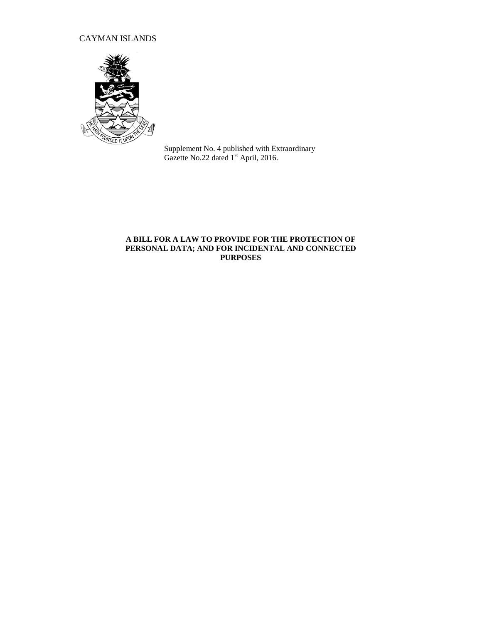# CAYMAN ISLANDS



Supplement No. 4 published with Extraordinary Gazette No.22 dated 1<sup>st</sup> April, 2016.

# **A BILL FOR A LAW TO PROVIDE FOR THE PROTECTION OF PERSONAL DATA; AND FOR INCIDENTAL AND CONNECTED PURPOSES**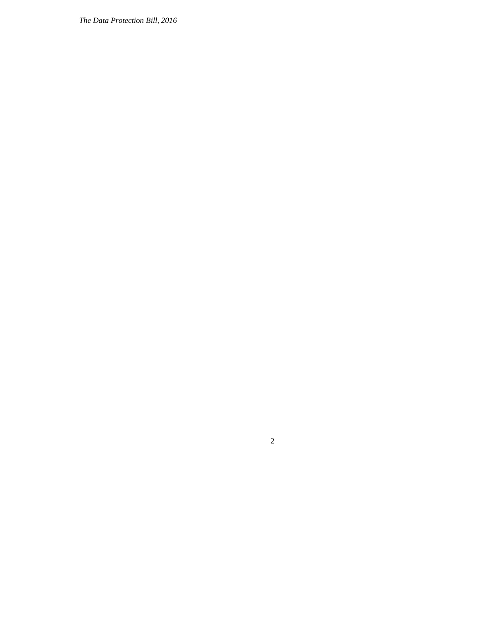*The Data Protection Bill, 2016*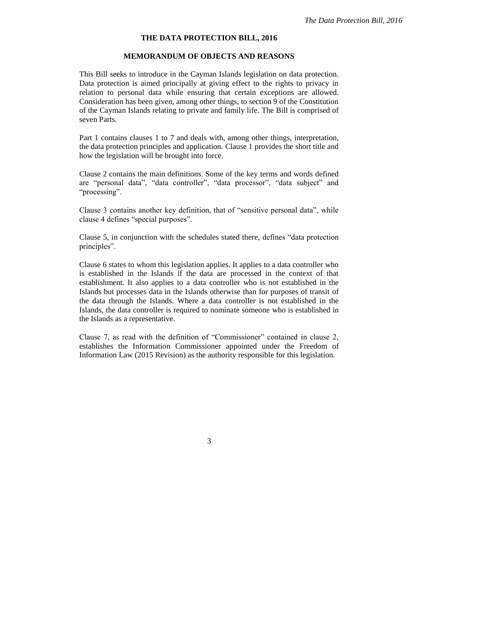#### **THE DATA PROTECTION BILL, 2016**

## **MEMORANDUM OF OBJECTS AND REASONS**

This Bill seeks to introduce in the Cayman Islands legislation on data protection. Data protection is aimed principally at giving effect to the rights to privacy in relation to personal data while ensuring that certain exceptions are allowed. Consideration has been given, among other things, to section 9 of the Constitution of the Cayman Islands relating to private and family life. The Bill is comprised of seven Parts.

Part 1 contains clauses 1 to 7 and deals with, among other things, interpretation, the data protection principles and application. Clause 1 provides the short title and how the legislation will be brought into force.

Clause 2 contains the main definitions. Some of the key terms and words defined are "personal data", "data controller", "data processor", "data subject" and "processing".

Clause 3 contains another key definition, that of "sensitive personal data", while clause 4 defines "special purposes".

Clause 5, in conjunction with the schedules stated there, defines "data protection principles".

Clause 6 states to whom this legislation applies. It applies to a data controller who is established in the Islands if the data are processed in the context of that establishment. It also applies to a data controller who is not established in the Islands but processes data in the Islands otherwise than for purposes of transit of the data through the Islands. Where a data controller is not established in the Islands, the data controller is required to nominate someone who is established in the Islands as a representative.

Clause 7, as read with the definition of "Commissioner" contained in clause 2, establishes the Information Commissioner appointed under the Freedom of Information Law (2015 Revision) as the authority responsible for this legislation.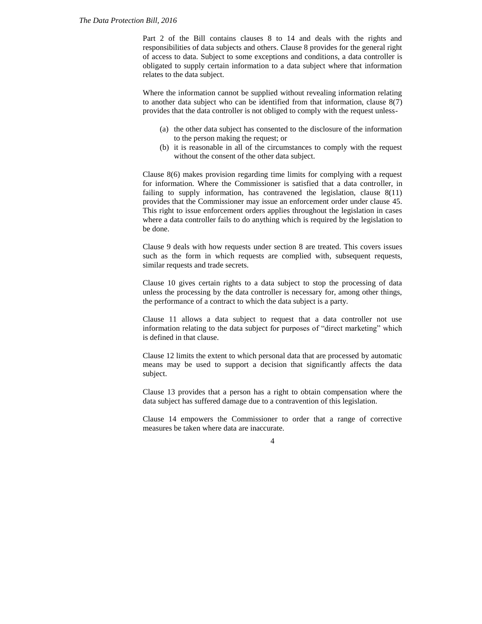#### *The Data Protection Bill, 2016*

Part 2 of the Bill contains clauses 8 to 14 and deals with the rights and responsibilities of data subjects and others. Clause 8 provides for the general right of access to data. Subject to some exceptions and conditions, a data controller is obligated to supply certain information to a data subject where that information relates to the data subject.

Where the information cannot be supplied without revealing information relating to another data subject who can be identified from that information, clause  $8(7)$ provides that the data controller is not obliged to comply with the request unless-

- (a) the other data subject has consented to the disclosure of the information to the person making the request; or
- (b) it is reasonable in all of the circumstances to comply with the request without the consent of the other data subject.

Clause 8(6) makes provision regarding time limits for complying with a request for information. Where the Commissioner is satisfied that a data controller, in failing to supply information, has contravened the legislation, clause  $8(11)$ provides that the Commissioner may issue an enforcement order under clause 45. This right to issue enforcement orders applies throughout the legislation in cases where a data controller fails to do anything which is required by the legislation to be done.

Clause 9 deals with how requests under section 8 are treated. This covers issues such as the form in which requests are complied with, subsequent requests, similar requests and trade secrets.

Clause 10 gives certain rights to a data subject to stop the processing of data unless the processing by the data controller is necessary for, among other things, the performance of a contract to which the data subject is a party.

Clause 11 allows a data subject to request that a data controller not use information relating to the data subject for purposes of "direct marketing" which is defined in that clause.

Clause 12 limits the extent to which personal data that are processed by automatic means may be used to support a decision that significantly affects the data subject.

Clause 13 provides that a person has a right to obtain compensation where the data subject has suffered damage due to a contravention of this legislation.

Clause 14 empowers the Commissioner to order that a range of corrective measures be taken where data are inaccurate.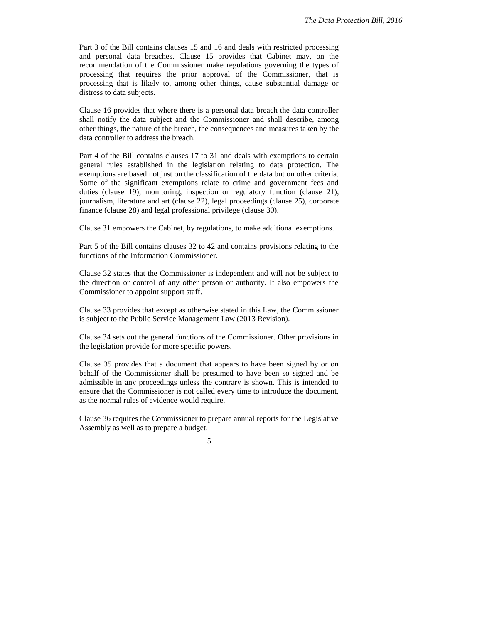Part 3 of the Bill contains clauses 15 and 16 and deals with restricted processing and personal data breaches. Clause 15 provides that Cabinet may, on the recommendation of the Commissioner make regulations governing the types of processing that requires the prior approval of the Commissioner, that is processing that is likely to, among other things, cause substantial damage or distress to data subjects.

Clause 16 provides that where there is a personal data breach the data controller shall notify the data subject and the Commissioner and shall describe, among other things, the nature of the breach, the consequences and measures taken by the data controller to address the breach.

Part 4 of the Bill contains clauses 17 to 31 and deals with exemptions to certain general rules established in the legislation relating to data protection. The exemptions are based not just on the classification of the data but on other criteria. Some of the significant exemptions relate to crime and government fees and duties (clause 19), monitoring, inspection or regulatory function (clause 21), journalism, literature and art (clause 22), legal proceedings (clause 25), corporate finance (clause 28) and legal professional privilege (clause 30).

Clause 31 empowers the Cabinet, by regulations, to make additional exemptions.

Part 5 of the Bill contains clauses 32 to 42 and contains provisions relating to the functions of the Information Commissioner.

Clause 32 states that the Commissioner is independent and will not be subject to the direction or control of any other person or authority. It also empowers the Commissioner to appoint support staff.

Clause 33 provides that except as otherwise stated in this Law, the Commissioner is subject to the Public Service Management Law (2013 Revision).

Clause 34 sets out the general functions of the Commissioner. Other provisions in the legislation provide for more specific powers.

Clause 35 provides that a document that appears to have been signed by or on behalf of the Commissioner shall be presumed to have been so signed and be admissible in any proceedings unless the contrary is shown. This is intended to ensure that the Commissioner is not called every time to introduce the document, as the normal rules of evidence would require.

Clause 36 requires the Commissioner to prepare annual reports for the Legislative Assembly as well as to prepare a budget.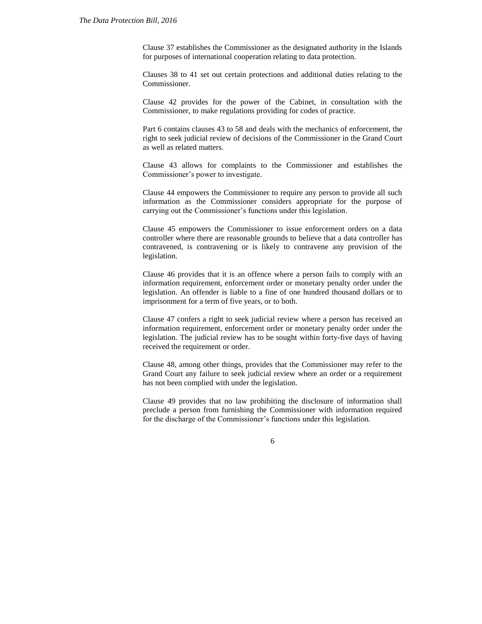Clause 37 establishes the Commissioner as the designated authority in the Islands for purposes of international cooperation relating to data protection.

Clauses 38 to 41 set out certain protections and additional duties relating to the Commissioner.

Clause 42 provides for the power of the Cabinet, in consultation with the Commissioner, to make regulations providing for codes of practice.

Part 6 contains clauses 43 to 58 and deals with the mechanics of enforcement, the right to seek judicial review of decisions of the Commissioner in the Grand Court as well as related matters.

Clause 43 allows for complaints to the Commissioner and establishes the Commissioner's power to investigate.

Clause 44 empowers the Commissioner to require any person to provide all such information as the Commissioner considers appropriate for the purpose of carrying out the Commissioner's functions under this legislation.

Clause 45 empowers the Commissioner to issue enforcement orders on a data controller where there are reasonable grounds to believe that a data controller has contravened, is contravening or is likely to contravene any provision of the legislation.

Clause 46 provides that it is an offence where a person fails to comply with an information requirement, enforcement order or monetary penalty order under the legislation. An offender is liable to a fine of one hundred thousand dollars or to imprisonment for a term of five years, or to both.

Clause 47 confers a right to seek judicial review where a person has received an information requirement, enforcement order or monetary penalty order under the legislation. The judicial review has to be sought within forty-five days of having received the requirement or order.

Clause 48, among other things, provides that the Commissioner may refer to the Grand Court any failure to seek judicial review where an order or a requirement has not been complied with under the legislation.

Clause 49 provides that no law prohibiting the disclosure of information shall preclude a person from furnishing the Commissioner with information required for the discharge of the Commissioner's functions under this legislation.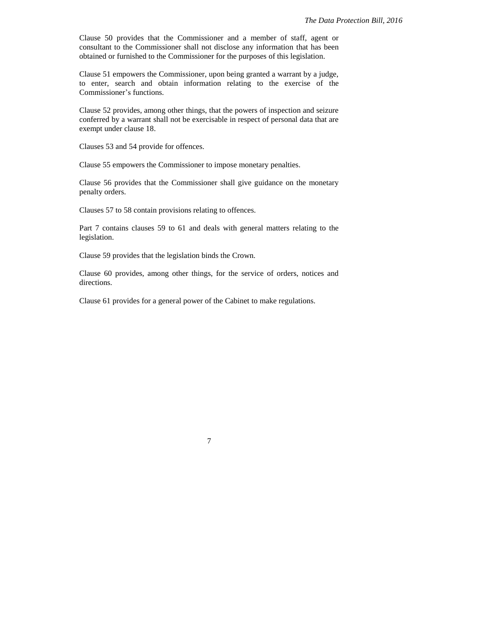Clause 50 provides that the Commissioner and a member of staff, agent or consultant to the Commissioner shall not disclose any information that has been obtained or furnished to the Commissioner for the purposes of this legislation.

Clause 51 empowers the Commissioner, upon being granted a warrant by a judge, to enter, search and obtain information relating to the exercise of the Commissioner's functions.

Clause 52 provides, among other things, that the powers of inspection and seizure conferred by a warrant shall not be exercisable in respect of personal data that are exempt under clause 18.

Clauses 53 and 54 provide for offences.

Clause 55 empowers the Commissioner to impose monetary penalties.

Clause 56 provides that the Commissioner shall give guidance on the monetary penalty orders.

Clauses 57 to 58 contain provisions relating to offences.

Part 7 contains clauses 59 to 61 and deals with general matters relating to the legislation.

Clause 59 provides that the legislation binds the Crown.

Clause 60 provides, among other things, for the service of orders, notices and directions.

Clause 61 provides for a general power of the Cabinet to make regulations.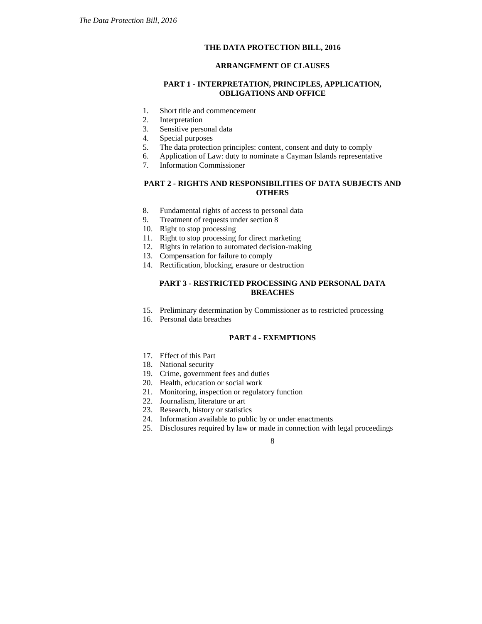## **THE DATA PROTECTION BILL, 2016**

#### **ARRANGEMENT OF CLAUSES**

## **PART 1 - INTERPRETATION, PRINCIPLES, APPLICATION, OBLIGATIONS AND OFFICE**

- 1. Short title and commencement
- 2. Interpretation
- 3. Sensitive personal data
- 4. Special purposes
- 5. The data protection principles: content, consent and duty to comply
- 6. Application of Law: duty to nominate a Cayman Islands representative
- 7. Information Commissioner

# **PART 2 - RIGHTS AND RESPONSIBILITIES OF DATA SUBJECTS AND OTHERS**

- 8. Fundamental rights of access to personal data
- 9. Treatment of requests under section 8
- 10. Right to stop processing
- 11. Right to stop processing for direct marketing
- 12. Rights in relation to automated decision-making
- 13. Compensation for failure to comply
- 14. Rectification, blocking, erasure or destruction

# **PART 3 - RESTRICTED PROCESSING AND PERSONAL DATA BREACHES**

- 15. Preliminary determination by Commissioner as to restricted processing
- 16. Personal data breaches

# **PART 4 - EXEMPTIONS**

- 17. Effect of this Part
- 18. National security
- 19. Crime, government fees and duties
- 20. Health, education or social work
- 21. Monitoring, inspection or regulatory function
- 22. Journalism, literature or art
- 23. Research, history or statistics
- 24. Information available to public by or under enactments
- 25. Disclosures required by law or made in connection with legal proceedings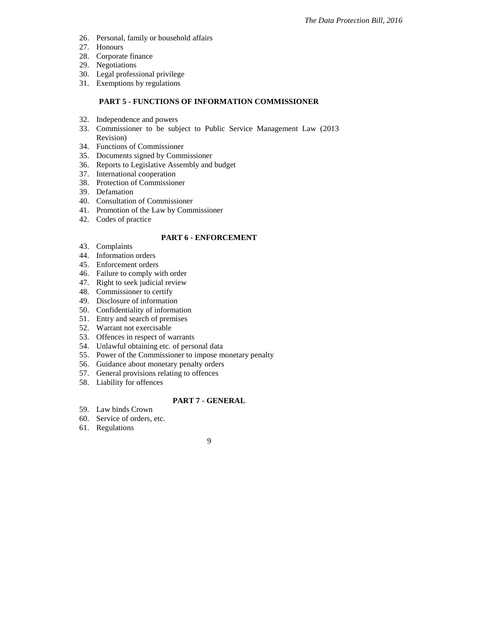- 26. Personal, family or household affairs
- 27. Honours
- 28. Corporate finance
- 29. Negotiations
- 30. Legal professional privilege
- 31. Exemptions by regulations

# **PART 5 - FUNCTIONS OF INFORMATION COMMISSIONER**

- 32. Independence and powers
- 33. Commissioner to be subject to Public Service Management Law (2013 Revision)
- 34. Functions of Commissioner
- 35. Documents signed by Commissioner
- 36. Reports to Legislative Assembly and budget
- 37. International cooperation
- 38. Protection of Commissioner
- 39. Defamation
- 40. Consultation of Commissioner
- 41. Promotion of the Law by Commissioner
- 42. Codes of practice

#### **PART 6 - ENFORCEMENT**

- 43. Complaints
- 44. Information orders
- 45. Enforcement orders
- 46. Failure to comply with order
- 47. Right to seek judicial review
- 48. Commissioner to certify
- 49. Disclosure of information
- 50. Confidentiality of information
- 51. Entry and search of premises
- 52. Warrant not exercisable
- 53. Offences in respect of warrants
- 54. Unlawful obtaining etc. of personal data
- 55. Power of the Commissioner to impose monetary penalty
- 56. Guidance about monetary penalty orders
- 57. General provisions relating to offences
- 58. Liability for offences

# **PART 7 - GENERAL**

- 59. Law binds Crown
- 60. Service of orders, etc.
- 61. Regulations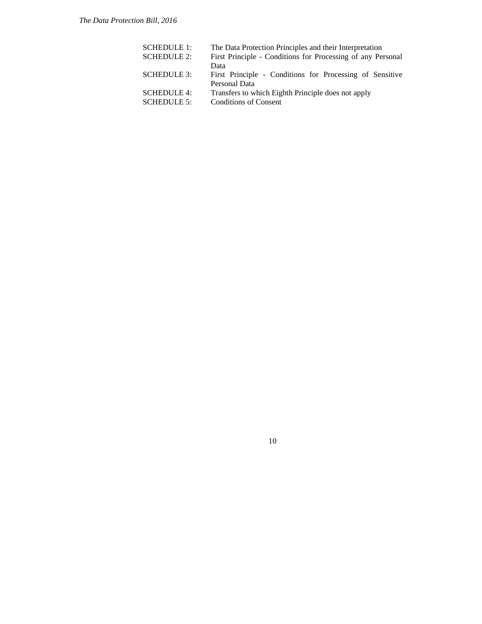| <b>SCHEDULE 1:</b> | The Data Protection Principles and their Interpretation     |
|--------------------|-------------------------------------------------------------|
| <b>SCHEDULE 2:</b> | First Principle - Conditions for Processing of any Personal |
|                    | Data                                                        |
| <b>SCHEDULE 3:</b> | First Principle - Conditions for Processing of Sensitive    |
|                    | Personal Data                                               |
| <b>SCHEDULE 4:</b> | Transfers to which Eighth Principle does not apply          |
| <b>SCHEDULE 5:</b> | <b>Conditions of Consent</b>                                |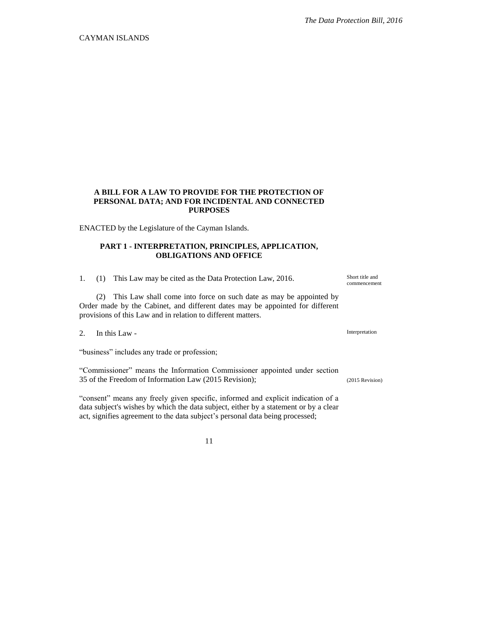# **A BILL FOR A LAW TO PROVIDE FOR THE PROTECTION OF PERSONAL DATA; AND FOR INCIDENTAL AND CONNECTED PURPOSES**

ENACTED by the Legislature of the Cayman Islands.

# **PART 1 - INTERPRETATION, PRINCIPLES, APPLICATION, OBLIGATIONS AND OFFICE**

1. (1) This Law may be cited as the Data Protection Law, 2016.

(2) This Law shall come into force on such date as may be appointed by Order made by the Cabinet, and different dates may be appointed for different provisions of this Law and in relation to different matters.

2. In this Law -

"business" includes any trade or profession;

"Commissioner" means the Information Commissioner appointed under section 35 of the Freedom of Information Law (2015 Revision);

"consent" means any freely given specific, informed and explicit indication of a data subject's wishes by which the data subject, either by a statement or by a clear act, signifies agreement to the data subject's personal data being processed;

Short title and commencement

Interpretation

(2015 Revision)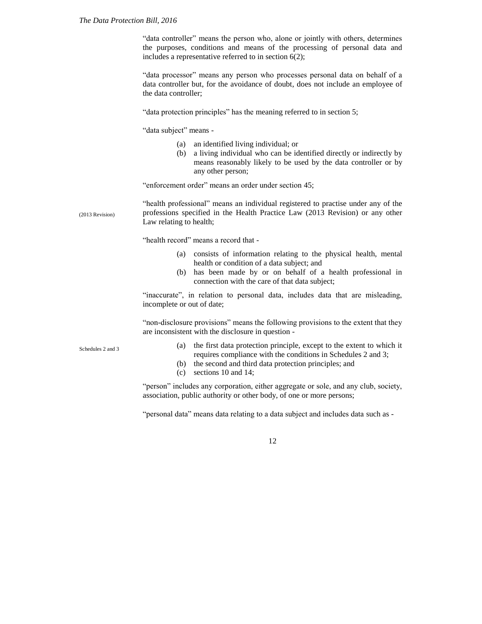#### *The Data Protection Bill, 2016*

| "data controller" means the person who, alone or jointly with others, determines |  |  |  |
|----------------------------------------------------------------------------------|--|--|--|
| the purposes, conditions and means of the processing of personal data and        |  |  |  |
| includes a representative referred to in section 6(2);                           |  |  |  |

"data processor" means any person who processes personal data on behalf of a data controller but, for the avoidance of doubt, does not include an employee of the data controller;

"data protection principles" has the meaning referred to in section 5;

"data subject" means -

- (a) an identified living individual; or
- (b) a living individual who can be identified directly or indirectly by means reasonably likely to be used by the data controller or by any other person;

"enforcement order" means an order under section 45;

"health professional" means an individual registered to practise under any of the professions specified in the Health Practice Law (2013 Revision) or any other Law relating to health;

"health record" means a record that -

- (a) consists of information relating to the physical health, mental health or condition of a data subject; and
- (b) has been made by or on behalf of a health professional in connection with the care of that data subject;

"inaccurate", in relation to personal data, includes data that are misleading, incomplete or out of date;

"non-disclosure provisions" means the following provisions to the extent that they are inconsistent with the disclosure in question -

Schedules 2 and 3

(2013 Revision)

- (a) the first data protection principle, except to the extent to which it requires compliance with the conditions in Schedules 2 and 3;
- (b) the second and third data protection principles; and
- (c) sections 10 and 14;

"person" includes any corporation, either aggregate or sole, and any club, society, association, public authority or other body, of one or more persons;

"personal data" means data relating to a data subject and includes data such as -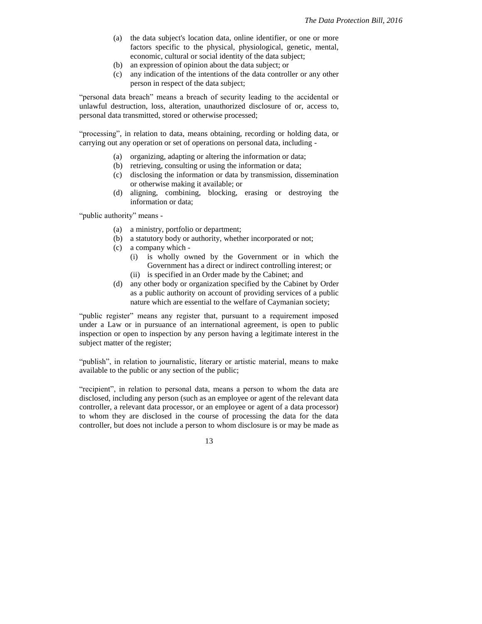- (a) the data subject's location data, online identifier, or one or more factors specific to the physical, physiological, genetic, mental, economic, cultural or social identity of the data subject;
- (b) an expression of opinion about the data subject; or
- (c) any indication of the intentions of the data controller or any other person in respect of the data subject;

"personal data breach" means a breach of security leading to the accidental or unlawful destruction, loss, alteration, unauthorized disclosure of or, access to, personal data transmitted, stored or otherwise processed;

"processing", in relation to data, means obtaining, recording or holding data, or carrying out any operation or set of operations on personal data, including -

- (a) organizing, adapting or altering the information or data;
- (b) retrieving, consulting or using the information or data;
- (c) disclosing the information or data by transmission, dissemination or otherwise making it available; or
- (d) aligning, combining, blocking, erasing or destroying the information or data;

"public authority" means -

- (a) a ministry, portfolio or department;
- (b) a statutory body or authority, whether incorporated or not;
- (c) a company which
	- (i) is wholly owned by the Government or in which the Government has a direct or indirect controlling interest; or (ii) is specified in an Order made by the Cabinet; and
- (d) any other body or organization specified by the Cabinet by Order as a public authority on account of providing services of a public nature which are essential to the welfare of Caymanian society;

"public register" means any register that, pursuant to a requirement imposed under a Law or in pursuance of an international agreement, is open to public inspection or open to inspection by any person having a legitimate interest in the subject matter of the register;

"publish", in relation to journalistic, literary or artistic material, means to make available to the public or any section of the public;

"recipient", in relation to personal data, means a person to whom the data are disclosed, including any person (such as an employee or agent of the relevant data controller, a relevant data processor, or an employee or agent of a data processor) to whom they are disclosed in the course of processing the data for the data controller, but does not include a person to whom disclosure is or may be made as

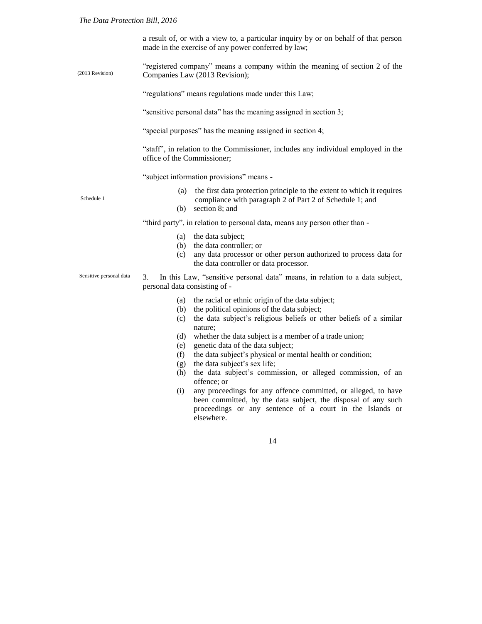Schedule 1

a result of, or with a view to, a particular inquiry by or on behalf of that person made in the exercise of any power conferred by law;

"registered company" means a company within the meaning of section 2 of the Companies Law (2013 Revision); (2013 Revision)

"regulations" means regulations made under this Law;

"sensitive personal data" has the meaning assigned in section 3;

"special purposes" has the meaning assigned in section 4;

"staff", in relation to the Commissioner, includes any individual employed in the office of the Commissioner;

"subject information provisions" means -

- (a) the first data protection principle to the extent to which it requires compliance with paragraph 2 of Part 2 of Schedule 1; and
- (b) section 8; and

"third party", in relation to personal data, means any person other than -

- (a) the data subject;
- (b) the data controller; or
- (c) any data processor or other person authorized to process data for the data controller or data processor.

3. In this Law, "sensitive personal data" means, in relation to a data subject, personal data consisting of - Sensitive personal data

- (a) the racial or ethnic origin of the data subject;
- (b) the political opinions of the data subject;
- (c) the data subject's religious beliefs or other beliefs of a similar nature;
- (d) whether the data subject is a member of a trade union;
- (e) genetic data of the data subject;
- (f) the data subject's physical or mental health or condition;
- (g) the data subject's sex life;
- (h) the data subject's commission, or alleged commission, of an offence; or
- (i) any proceedings for any offence committed, or alleged, to have been committed, by the data subject, the disposal of any such proceedings or any sentence of a court in the Islands or elsewhere.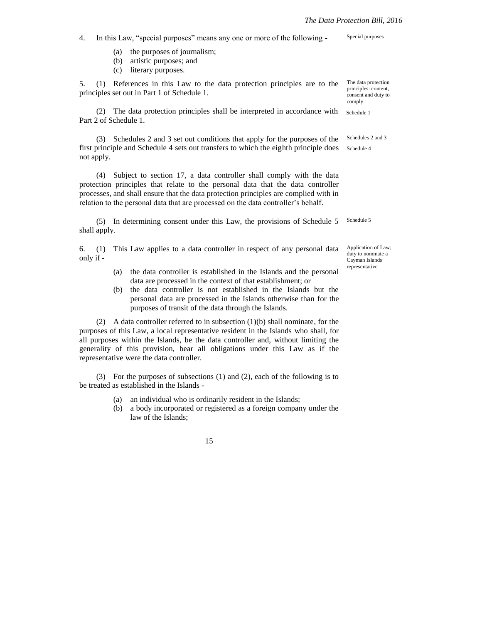Special purposes

- 4. In this Law, "special purposes" means any one or more of the following
	- (a) the purposes of journalism;
	- (b) artistic purposes; and
	- (c) literary purposes.

5. (1) References in this Law to the data protection principles are to the principles set out in Part 1 of Schedule 1.

(2) The data protection principles shall be interpreted in accordance with Part 2 of Schedule 1.

(3) Schedules 2 and 3 set out conditions that apply for the purposes of the first principle and Schedule 4 sets out transfers to which the eighth principle does not apply.

(4) Subject to section 17, a data controller shall comply with the data protection principles that relate to the personal data that the data controller processes, and shall ensure that the data protection principles are complied with in relation to the personal data that are processed on the data controller's behalf.

(5) In determining consent under this Law, the provisions of Schedule 5 shall apply.

6. (1) This Law applies to a data controller in respect of any personal data only if -

- (a) the data controller is established in the Islands and the personal data are processed in the context of that establishment; or
- (b) the data controller is not established in the Islands but the personal data are processed in the Islands otherwise than for the purposes of transit of the data through the Islands.

(2) A data controller referred to in subsection  $(1)(b)$  shall nominate, for the purposes of this Law, a local representative resident in the Islands who shall, for all purposes within the Islands, be the data controller and, without limiting the generality of this provision, bear all obligations under this Law as if the representative were the data controller.

(3) For the purposes of subsections (1) and (2), each of the following is to be treated as established in the Islands -

- (a) an individual who is ordinarily resident in the Islands;
- (b) a body incorporated or registered as a foreign company under the law of the Islands;

The data protection principles: content, consent and duty to comply

Schedule 1

Schedules 2 and 3 Schedule 4

Schedule 5

Application of Law; duty to nominate a Cayman Islands representative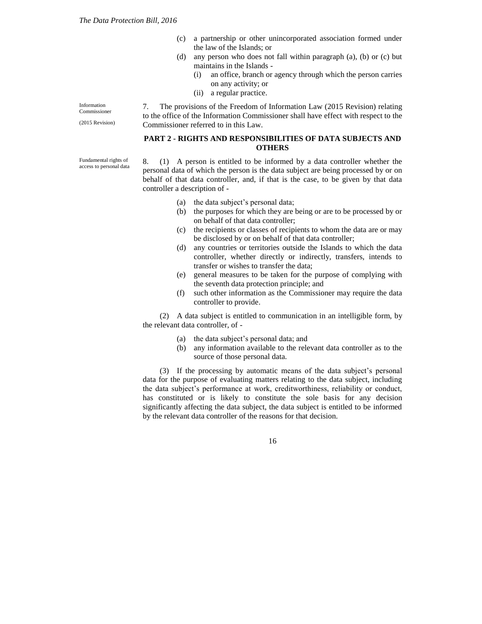- (c) a partnership or other unincorporated association formed under the law of the Islands; or
- (d) any person who does not fall within paragraph (a), (b) or (c) but maintains in the Islands -
	- (i) an office, branch or agency through which the person carries on any activity; or
	- (ii) a regular practice.

7. The provisions of the Freedom of Information Law (2015 Revision) relating to the office of the Information Commissioner shall have effect with respect to the Commissioner referred to in this Law.

# **PART 2 - RIGHTS AND RESPONSIBILITIES OF DATA SUBJECTS AND OTHERS**

8. (1) A person is entitled to be informed by a data controller whether the personal data of which the person is the data subject are being processed by or on behalf of that data controller, and, if that is the case, to be given by that data controller a description of -

- (a) the data subject's personal data;
- (b) the purposes for which they are being or are to be processed by or on behalf of that data controller;
- (c) the recipients or classes of recipients to whom the data are or may be disclosed by or on behalf of that data controller;
- (d) any countries or territories outside the Islands to which the data controller, whether directly or indirectly, transfers, intends to transfer or wishes to transfer the data;
- (e) general measures to be taken for the purpose of complying with the seventh data protection principle; and
- (f) such other information as the Commissioner may require the data controller to provide.

(2) A data subject is entitled to communication in an intelligible form, by the relevant data controller, of -

- (a) the data subject's personal data; and
- (b) any information available to the relevant data controller as to the source of those personal data.

(3) If the processing by automatic means of the data subject's personal data for the purpose of evaluating matters relating to the data subject, including the data subject's performance at work, creditworthiness, reliability or conduct, has constituted or is likely to constitute the sole basis for any decision significantly affecting the data subject, the data subject is entitled to be informed by the relevant data controller of the reasons for that decision.

16

Fundamental rights of access to personal data

Information Commissioner (2015 Revision)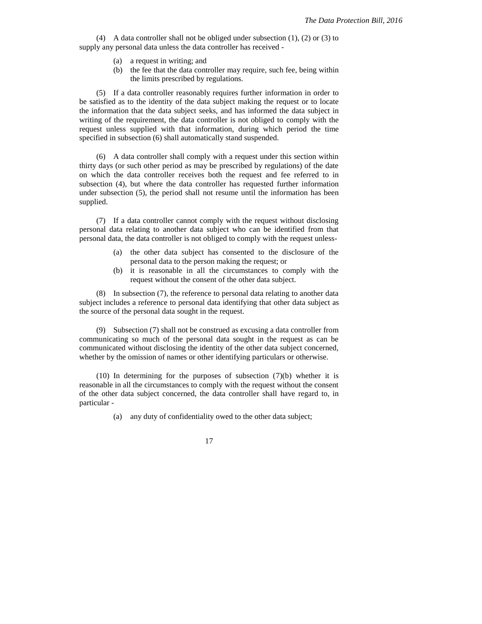(4) A data controller shall not be obliged under subsection (1), (2) or (3) to supply any personal data unless the data controller has received -

- (a) a request in writing; and
- (b) the fee that the data controller may require, such fee, being within the limits prescribed by regulations.

(5) If a data controller reasonably requires further information in order to be satisfied as to the identity of the data subject making the request or to locate the information that the data subject seeks, and has informed the data subject in writing of the requirement, the data controller is not obliged to comply with the request unless supplied with that information, during which period the time specified in subsection (6) shall automatically stand suspended.

(6) A data controller shall comply with a request under this section within thirty days (or such other period as may be prescribed by regulations) of the date on which the data controller receives both the request and fee referred to in subsection (4), but where the data controller has requested further information under subsection (5), the period shall not resume until the information has been supplied.

(7) If a data controller cannot comply with the request without disclosing personal data relating to another data subject who can be identified from that personal data, the data controller is not obliged to comply with the request unless-

- (a) the other data subject has consented to the disclosure of the personal data to the person making the request; or
- (b) it is reasonable in all the circumstances to comply with the request without the consent of the other data subject.

(8) In subsection (7), the reference to personal data relating to another data subject includes a reference to personal data identifying that other data subject as the source of the personal data sought in the request.

(9) Subsection (7) shall not be construed as excusing a data controller from communicating so much of the personal data sought in the request as can be communicated without disclosing the identity of the other data subject concerned, whether by the omission of names or other identifying particulars or otherwise.

(10) In determining for the purposes of subsection (7)(b) whether it is reasonable in all the circumstances to comply with the request without the consent of the other data subject concerned, the data controller shall have regard to, in particular -

(a) any duty of confidentiality owed to the other data subject;

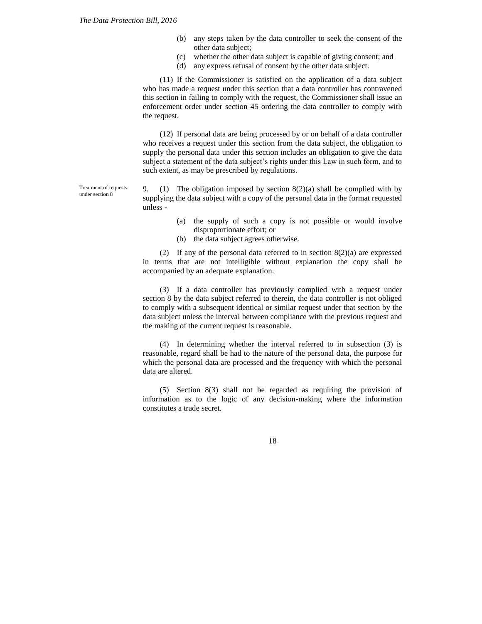Treatment of requests under section 8

- (b) any steps taken by the data controller to seek the consent of the other data subject;
- (c) whether the other data subject is capable of giving consent; and
- (d) any express refusal of consent by the other data subject.

(11) If the Commissioner is satisfied on the application of a data subject who has made a request under this section that a data controller has contravened this section in failing to comply with the request, the Commissioner shall issue an enforcement order under section 45 ordering the data controller to comply with the request.

(12) If personal data are being processed by or on behalf of a data controller who receives a request under this section from the data subject, the obligation to supply the personal data under this section includes an obligation to give the data subject a statement of the data subject's rights under this Law in such form, and to such extent, as may be prescribed by regulations.

9. (1) The obligation imposed by section  $8(2)(a)$  shall be complied with by supplying the data subject with a copy of the personal data in the format requested unless -

- (a) the supply of such a copy is not possible or would involve disproportionate effort; or
- (b) the data subject agrees otherwise.

(2) If any of the personal data referred to in section 8(2)(a) are expressed in terms that are not intelligible without explanation the copy shall be accompanied by an adequate explanation.

(3) If a data controller has previously complied with a request under section 8 by the data subject referred to therein, the data controller is not obliged to comply with a subsequent identical or similar request under that section by the data subject unless the interval between compliance with the previous request and the making of the current request is reasonable.

(4) In determining whether the interval referred to in subsection (3) is reasonable, regard shall be had to the nature of the personal data, the purpose for which the personal data are processed and the frequency with which the personal data are altered.

(5) Section 8(3) shall not be regarded as requiring the provision of information as to the logic of any decision-making where the information constitutes a trade secret.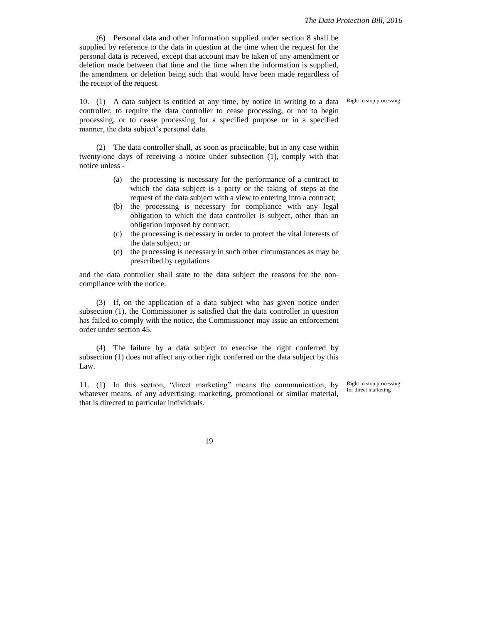(6) Personal data and other information supplied under section 8 shall be supplied by reference to the data in question at the time when the request for the personal data is received, except that account may be taken of any amendment or deletion made between that time and the time when the information is supplied, the amendment or deletion being such that would have been made regardless of the receipt of the request.

10. (1) A data subject is entitled at any time, by notice in writing to a data controller, to require the data controller to cease processing, or not to begin processing, or to cease processing for a specified purpose or in a specified manner, the data subject's personal data.

(2) The data controller shall, as soon as practicable, but in any case within twenty-one days of receiving a notice under subsection (1), comply with that notice unless -

- (a) the processing is necessary for the performance of a contract to which the data subject is a party or the taking of steps at the request of the data subject with a view to entering into a contract;
- (b) the processing is necessary for compliance with any legal obligation to which the data controller is subject, other than an obligation imposed by contract;
- (c) the processing is necessary in order to protect the vital interests of the data subject; or
- (d) the processing is necessary in such other circumstances as may be prescribed by regulations

and the data controller shall state to the data subject the reasons for the noncompliance with the notice.

(3) If, on the application of a data subject who has given notice under subsection (1), the Commissioner is satisfied that the data controller in question has failed to comply with the notice, the Commissioner may issue an enforcement order under section 45.

(4) The failure by a data subject to exercise the right conferred by subsection (1) does not affect any other right conferred on the data subject by this Law.

11. (1) In this section, "direct marketing" means the communication, by whatever means, of any advertising, marketing, promotional or similar material, that is directed to particular individuals.

Right to stop processing for direct marketing

19

Right to stop processing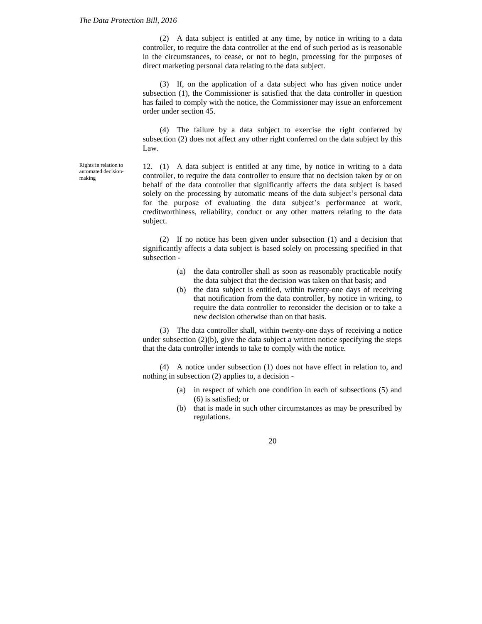(2) A data subject is entitled at any time, by notice in writing to a data controller, to require the data controller at the end of such period as is reasonable in the circumstances, to cease, or not to begin, processing for the purposes of direct marketing personal data relating to the data subject.

(3) If, on the application of a data subject who has given notice under subsection (1), the Commissioner is satisfied that the data controller in question has failed to comply with the notice, the Commissioner may issue an enforcement order under section 45.

(4) The failure by a data subject to exercise the right conferred by subsection (2) does not affect any other right conferred on the data subject by this Law.

12. (1) A data subject is entitled at any time, by notice in writing to a data controller, to require the data controller to ensure that no decision taken by or on behalf of the data controller that significantly affects the data subject is based solely on the processing by automatic means of the data subject's personal data for the purpose of evaluating the data subject's performance at work, creditworthiness, reliability, conduct or any other matters relating to the data subject.

(2) If no notice has been given under subsection (1) and a decision that significantly affects a data subject is based solely on processing specified in that subsection -

- (a) the data controller shall as soon as reasonably practicable notify the data subject that the decision was taken on that basis; and
- (b) the data subject is entitled, within twenty-one days of receiving that notification from the data controller, by notice in writing, to require the data controller to reconsider the decision or to take a new decision otherwise than on that basis.

(3) The data controller shall, within twenty-one days of receiving a notice under subsection  $(2)(b)$ , give the data subject a written notice specifying the steps that the data controller intends to take to comply with the notice.

(4) A notice under subsection (1) does not have effect in relation to, and nothing in subsection (2) applies to, a decision -

- (a) in respect of which one condition in each of subsections (5) and (6) is satisfied; or
- (b) that is made in such other circumstances as may be prescribed by regulations.

20

Rights in relation to automated decisionmaking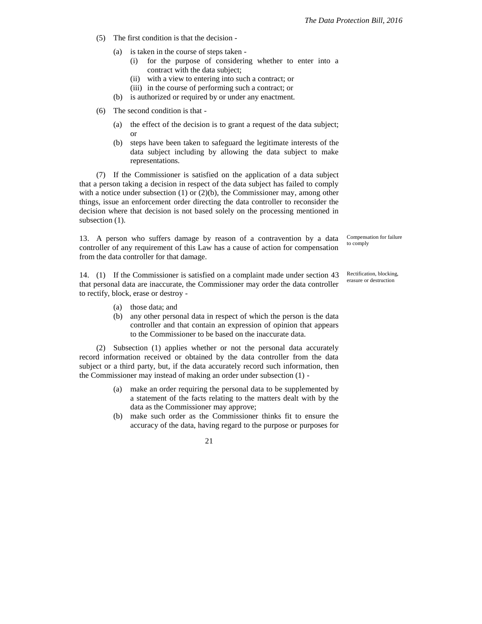- (5) The first condition is that the decision
	- (a) is taken in the course of steps taken
		- (i) for the purpose of considering whether to enter into a contract with the data subject;
		- (ii) with a view to entering into such a contract; or
		- (iii) in the course of performing such a contract; or
	- (b) is authorized or required by or under any enactment.
- (6) The second condition is that
	- (a) the effect of the decision is to grant a request of the data subject; or
	- (b) steps have been taken to safeguard the legitimate interests of the data subject including by allowing the data subject to make representations.

(7) If the Commissioner is satisfied on the application of a data subject that a person taking a decision in respect of the data subject has failed to comply with a notice under subsection (1) or (2)(b), the Commissioner may, among other things, issue an enforcement order directing the data controller to reconsider the decision where that decision is not based solely on the processing mentioned in subsection  $(1)$ .

13. A person who suffers damage by reason of a contravention by a data controller of any requirement of this Law has a cause of action for compensation from the data controller for that damage.

14. (1) If the Commissioner is satisfied on a complaint made under section 43 that personal data are inaccurate, the Commissioner may order the data controller to rectify, block, erase or destroy -

- (a) those data; and
- (b) any other personal data in respect of which the person is the data controller and that contain an expression of opinion that appears to the Commissioner to be based on the inaccurate data.

(2) Subsection (1) applies whether or not the personal data accurately record information received or obtained by the data controller from the data subject or a third party, but, if the data accurately record such information, then the Commissioner may instead of making an order under subsection (1) -

- (a) make an order requiring the personal data to be supplemented by a statement of the facts relating to the matters dealt with by the data as the Commissioner may approve;
- (b) make such order as the Commissioner thinks fit to ensure the accuracy of the data, having regard to the purpose or purposes for

21

Compensation for failure to comply

Rectification, blocking, erasure or destruction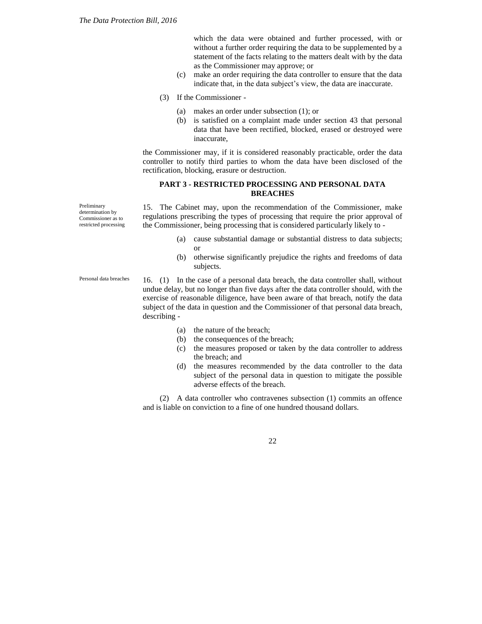which the data were obtained and further processed, with or without a further order requiring the data to be supplemented by a statement of the facts relating to the matters dealt with by the data as the Commissioner may approve; or

- (c) make an order requiring the data controller to ensure that the data indicate that, in the data subject's view, the data are inaccurate.
- (3) If the Commissioner
	- (a) makes an order under subsection (1); or
	- (b) is satisfied on a complaint made under section 43 that personal data that have been rectified, blocked, erased or destroyed were inaccurate,

the Commissioner may, if it is considered reasonably practicable, order the data controller to notify third parties to whom the data have been disclosed of the rectification, blocking, erasure or destruction.

#### **PART 3 - RESTRICTED PROCESSING AND PERSONAL DATA BREACHES**

15. The Cabinet may, upon the recommendation of the Commissioner, make regulations prescribing the types of processing that require the prior approval of the Commissioner, being processing that is considered particularly likely to -

- (a) cause substantial damage or substantial distress to data subjects; or
- (b) otherwise significantly prejudice the rights and freedoms of data subjects.

16. (1) In the case of a personal data breach, the data controller shall, without undue delay, but no longer than five days after the data controller should, with the exercise of reasonable diligence, have been aware of that breach, notify the data subject of the data in question and the Commissioner of that personal data breach, describing -

- (a) the nature of the breach;
- (b) the consequences of the breach;
- (c) the measures proposed or taken by the data controller to address the breach; and
- (d) the measures recommended by the data controller to the data subject of the personal data in question to mitigate the possible adverse effects of the breach.

(2) A data controller who contravenes subsection (1) commits an offence and is liable on conviction to a fine of one hundred thousand dollars.

Preliminary determination by Commissioner as to restricted processing

Personal data breaches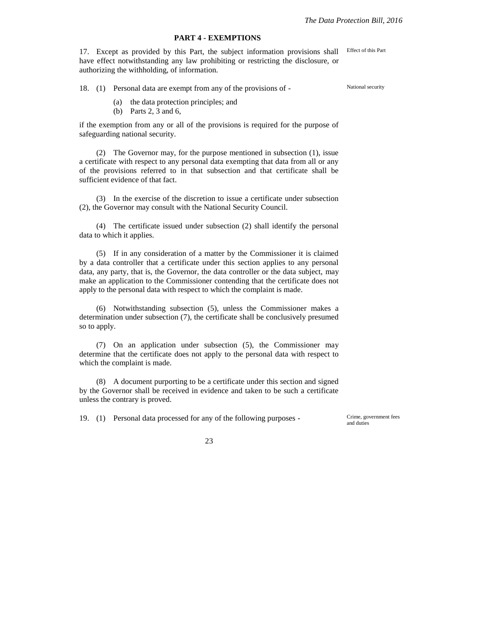# **PART 4 - EXEMPTIONS**

17. Except as provided by this Part, the subject information provisions shall have effect notwithstanding any law prohibiting or restricting the disclosure, or authorizing the withholding, of information.

18. (1) Personal data are exempt from any of the provisions of -

- (a) the data protection principles; and
- (b) Parts 2, 3 and 6,

if the exemption from any or all of the provisions is required for the purpose of safeguarding national security.

(2) The Governor may, for the purpose mentioned in subsection (1), issue a certificate with respect to any personal data exempting that data from all or any of the provisions referred to in that subsection and that certificate shall be sufficient evidence of that fact.

(3) In the exercise of the discretion to issue a certificate under subsection (2), the Governor may consult with the National Security Council.

(4) The certificate issued under subsection (2) shall identify the personal data to which it applies.

(5) If in any consideration of a matter by the Commissioner it is claimed by a data controller that a certificate under this section applies to any personal data, any party, that is, the Governor, the data controller or the data subject, may make an application to the Commissioner contending that the certificate does not apply to the personal data with respect to which the complaint is made.

(6) Notwithstanding subsection (5), unless the Commissioner makes a determination under subsection (7), the certificate shall be conclusively presumed so to apply.

(7) On an application under subsection (5), the Commissioner may determine that the certificate does not apply to the personal data with respect to which the complaint is made.

(8) A document purporting to be a certificate under this section and signed by the Governor shall be received in evidence and taken to be such a certificate unless the contrary is proved.

19. (1) Personal data processed for any of the following purposes -

Crime, government fees and duties

23

National security

Effect of this Part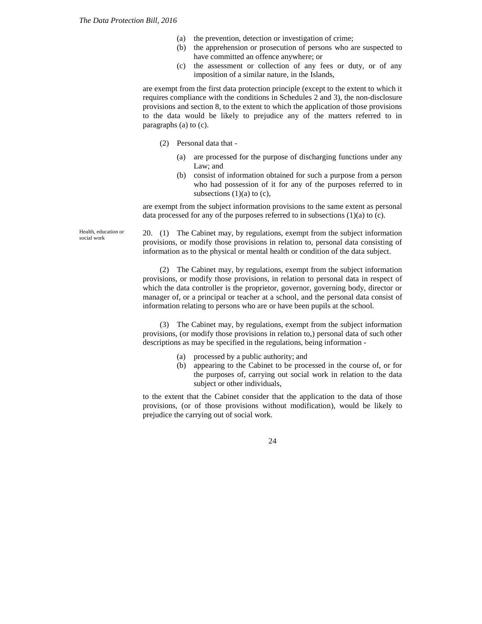- (a) the prevention, detection or investigation of crime;
- (b) the apprehension or prosecution of persons who are suspected to have committed an offence anywhere; or
- (c) the assessment or collection of any fees or duty, or of any imposition of a similar nature, in the Islands,

are exempt from the first data protection principle (except to the extent to which it requires compliance with the conditions in Schedules 2 and 3), the non-disclosure provisions and section 8, to the extent to which the application of those provisions to the data would be likely to prejudice any of the matters referred to in paragraphs (a) to (c).

- (2) Personal data that
	- (a) are processed for the purpose of discharging functions under any Law; and
	- (b) consist of information obtained for such a purpose from a person who had possession of it for any of the purposes referred to in subsections  $(1)(a)$  to  $(c)$ ,

are exempt from the subject information provisions to the same extent as personal data processed for any of the purposes referred to in subsections  $(1)(a)$  to  $(c)$ .

20. (1) The Cabinet may, by regulations, exempt from the subject information provisions, or modify those provisions in relation to, personal data consisting of information as to the physical or mental health or condition of the data subject.

(2) The Cabinet may, by regulations, exempt from the subject information provisions, or modify those provisions, in relation to personal data in respect of which the data controller is the proprietor, governor, governing body, director or manager of, or a principal or teacher at a school, and the personal data consist of information relating to persons who are or have been pupils at the school.

(3) The Cabinet may, by regulations, exempt from the subject information provisions, (or modify those provisions in relation to,) personal data of such other descriptions as may be specified in the regulations, being information -

- (a) processed by a public authority; and
- (b) appearing to the Cabinet to be processed in the course of, or for the purposes of, carrying out social work in relation to the data subject or other individuals,

to the extent that the Cabinet consider that the application to the data of those provisions, (or of those provisions without modification), would be likely to prejudice the carrying out of social work.

24

Health, education or social work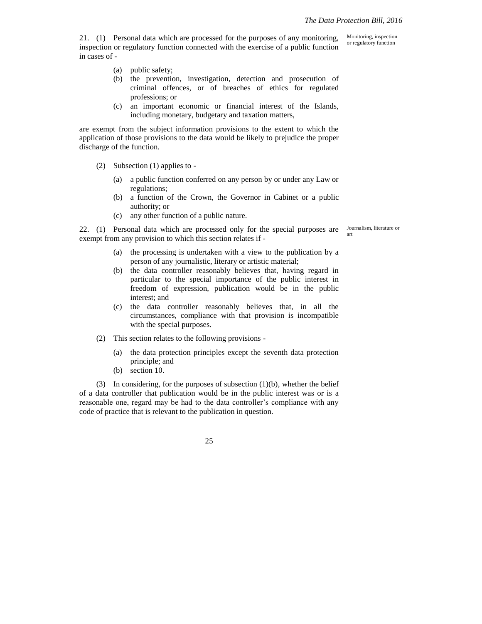Monitoring, inspection or regulatory function

21. (1) Personal data which are processed for the purposes of any monitoring, inspection or regulatory function connected with the exercise of a public function in cases of -

- (a) public safety;
- (b) the prevention, investigation, detection and prosecution of criminal offences, or of breaches of ethics for regulated professions; or
- (c) an important economic or financial interest of the Islands, including monetary, budgetary and taxation matters,

are exempt from the subject information provisions to the extent to which the application of those provisions to the data would be likely to prejudice the proper discharge of the function.

- (2) Subsection (1) applies to
	- (a) a public function conferred on any person by or under any Law or regulations;
	- (b) a function of the Crown, the Governor in Cabinet or a public authority; or
	- (c) any other function of a public nature.

22. (1) Personal data which are processed only for the special purposes are exempt from any provision to which this section relates if -

Journalism, literature or art

- (a) the processing is undertaken with a view to the publication by a person of any journalistic, literary or artistic material;
- (b) the data controller reasonably believes that, having regard in particular to the special importance of the public interest in freedom of expression, publication would be in the public interest; and
- (c) the data controller reasonably believes that, in all the circumstances, compliance with that provision is incompatible with the special purposes.
- (2) This section relates to the following provisions
	- (a) the data protection principles except the seventh data protection principle; and
	- (b) section 10.

(3) In considering, for the purposes of subsection (1)(b), whether the belief of a data controller that publication would be in the public interest was or is a reasonable one, regard may be had to the data controller's compliance with any code of practice that is relevant to the publication in question.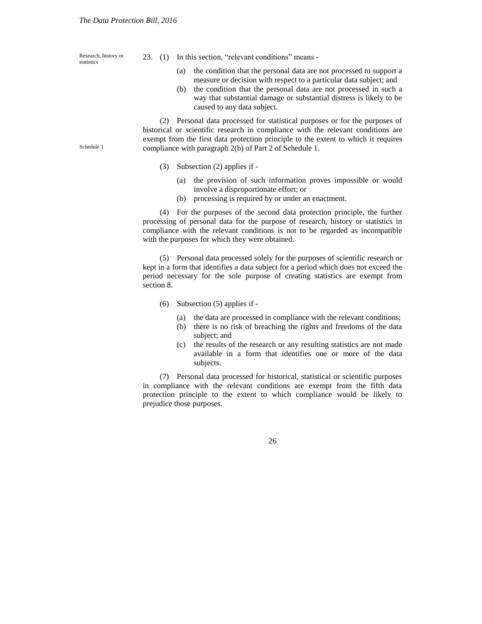Research, history or statistics

Schedule 1

23. (1) In this section, "relevant conditions" means -

- (a) the condition that the personal data are not processed to support a measure or decision with respect to a particular data subject; and
- (b) the condition that the personal data are not processed in such a way that substantial damage or substantial distress is likely to be caused to any data subject.

(2) Personal data processed for statistical purposes or for the purposes of historical or scientific research in compliance with the relevant conditions are exempt from the first data protection principle to the extent to which it requires compliance with paragraph 2(b) of Part 2 of Schedule 1.

- (3) Subsection (2) applies if
	- (a) the provision of such information proves impossible or would involve a disproportionate effort; or
	- (b) processing is required by or under an enactment.

(4) For the purposes of the second data protection principle, the further processing of personal data for the purpose of research, history or statistics in compliance with the relevant conditions is not to be regarded as incompatible with the purposes for which they were obtained.

(5) Personal data processed solely for the purposes of scientific research or kept in a form that identifies a data subject for a period which does not exceed the period necessary for the sole purpose of creating statistics are exempt from section 8.

- (6) Subsection (5) applies if
	- (a) the data are processed in compliance with the relevant conditions;
	- (b) there is no risk of breaching the rights and freedoms of the data subject; and
	- (c) the results of the research or any resulting statistics are not made available in a form that identifies one or more of the data subjects.

(7) Personal data processed for historical, statistical or scientific purposes in compliance with the relevant conditions are exempt from the fifth data protection principle to the extent to which compliance would be likely to prejudice those purposes.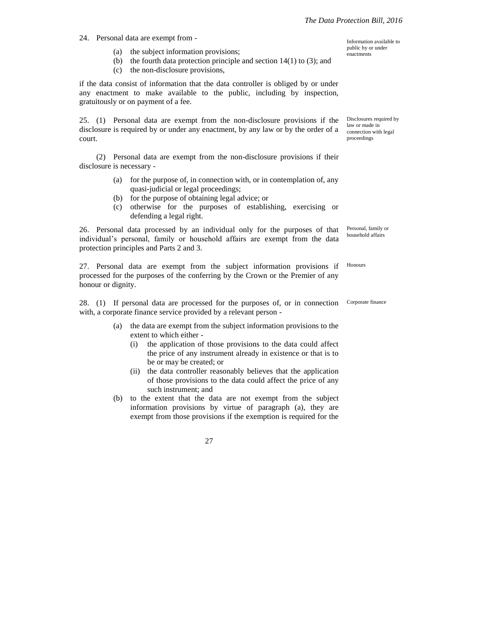24. Personal data are exempt from -

- (a) the subject information provisions;
- (b) the fourth data protection principle and section  $14(1)$  to (3); and
- (c) the non-disclosure provisions,

if the data consist of information that the data controller is obliged by or under any enactment to make available to the public, including by inspection, gratuitously or on payment of a fee.

25. (1) Personal data are exempt from the non-disclosure provisions if the disclosure is required by or under any enactment, by any law or by the order of a court.

(2) Personal data are exempt from the non-disclosure provisions if their disclosure is necessary -

- (a) for the purpose of, in connection with, or in contemplation of, any quasi-judicial or legal proceedings;
- (b) for the purpose of obtaining legal advice; or
- (c) otherwise for the purposes of establishing, exercising or defending a legal right.

26. Personal data processed by an individual only for the purposes of that individual's personal, family or household affairs are exempt from the data protection principles and Parts 2 and 3.

27. Personal data are exempt from the subject information provisions if processed for the purposes of the conferring by the Crown or the Premier of any honour or dignity.

28. (1) If personal data are processed for the purposes of, or in connection with, a corporate finance service provided by a relevant person -

- (a) the data are exempt from the subject information provisions to the extent to which either -
	- (i) the application of those provisions to the data could affect the price of any instrument already in existence or that is to be or may be created; or
	- (ii) the data controller reasonably believes that the application of those provisions to the data could affect the price of any such instrument; and
- (b) to the extent that the data are not exempt from the subject information provisions by virtue of paragraph (a), they are exempt from those provisions if the exemption is required for the

27

Disclosures required by law or made in connection with legal proceedings

Information available to public by or under enactments

Personal, family or household affairs

Honours

Corporate finance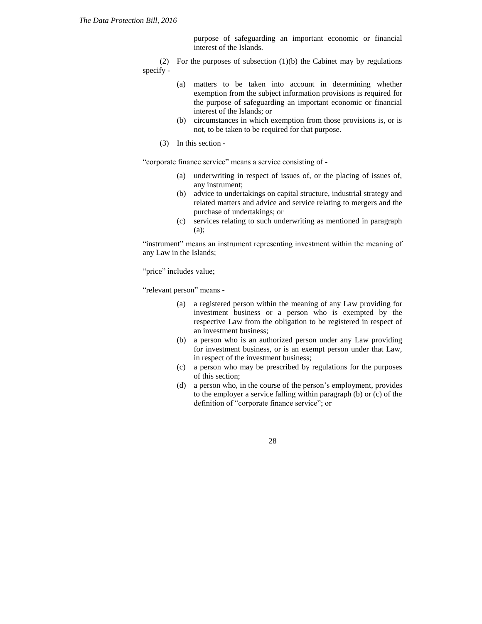purpose of safeguarding an important economic or financial interest of the Islands.

(2) For the purposes of subsection (1)(b) the Cabinet may by regulations specify -

- (a) matters to be taken into account in determining whether exemption from the subject information provisions is required for the purpose of safeguarding an important economic or financial interest of the Islands; or
- (b) circumstances in which exemption from those provisions is, or is not, to be taken to be required for that purpose.
- (3) In this section -

"corporate finance service" means a service consisting of -

- (a) underwriting in respect of issues of, or the placing of issues of, any instrument;
- (b) advice to undertakings on capital structure, industrial strategy and related matters and advice and service relating to mergers and the purchase of undertakings; or
- (c) services relating to such underwriting as mentioned in paragraph (a);

"instrument" means an instrument representing investment within the meaning of any Law in the Islands;

"price" includes value;

"relevant person" means -

- (a) a registered person within the meaning of any Law providing for investment business or a person who is exempted by the respective Law from the obligation to be registered in respect of an investment business;
- (b) a person who is an authorized person under any Law providing for investment business, or is an exempt person under that Law, in respect of the investment business;
- (c) a person who may be prescribed by regulations for the purposes of this section;
- (d) a person who, in the course of the person's employment, provides to the employer a service falling within paragraph (b) or (c) of the definition of "corporate finance service"; or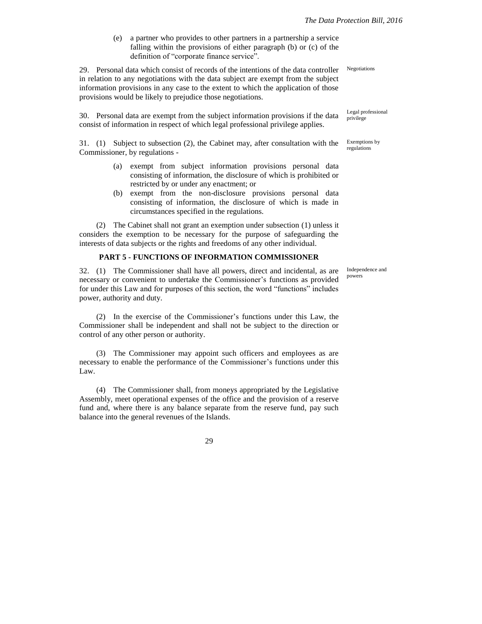(e) a partner who provides to other partners in a partnership a service falling within the provisions of either paragraph (b) or (c) of the definition of "corporate finance service".

29. Personal data which consist of records of the intentions of the data controller in relation to any negotiations with the data subject are exempt from the subject information provisions in any case to the extent to which the application of those provisions would be likely to prejudice those negotiations.

30. Personal data are exempt from the subject information provisions if the data consist of information in respect of which legal professional privilege applies.

31. (1) Subject to subsection (2), the Cabinet may, after consultation with the Commissioner, by regulations -

- (a) exempt from subject information provisions personal data consisting of information, the disclosure of which is prohibited or restricted by or under any enactment; or
- (b) exempt from the non-disclosure provisions personal data consisting of information, the disclosure of which is made in circumstances specified in the regulations.

(2) The Cabinet shall not grant an exemption under subsection (1) unless it considers the exemption to be necessary for the purpose of safeguarding the interests of data subjects or the rights and freedoms of any other individual.

#### **PART 5 - FUNCTIONS OF INFORMATION COMMISSIONER**

32. (1) The Commissioner shall have all powers, direct and incidental, as are necessary or convenient to undertake the Commissioner's functions as provided for under this Law and for purposes of this section, the word "functions" includes power, authority and duty.

(2) In the exercise of the Commissioner's functions under this Law, the Commissioner shall be independent and shall not be subject to the direction or control of any other person or authority.

(3) The Commissioner may appoint such officers and employees as are necessary to enable the performance of the Commissioner's functions under this Law.

(4) The Commissioner shall, from moneys appropriated by the Legislative Assembly, meet operational expenses of the office and the provision of a reserve fund and, where there is any balance separate from the reserve fund, pay such balance into the general revenues of the Islands.

29

Negotiations

Legal professional privilege

Exemptions by regulations

Independence and powers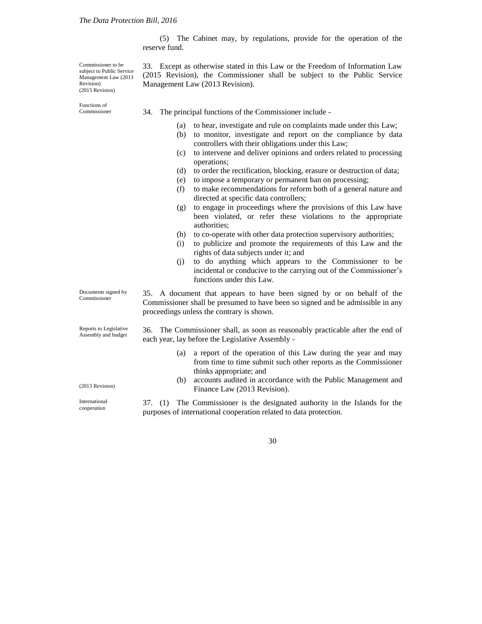(5) The Cabinet may, by regulations, provide for the operation of the reserve fund.

Commissioner to be subject to Public Service Management Law (2013 Revision) (2015 Revision)

33. Except as otherwise stated in this Law or the Freedom of Information Law (2015 Revision), the Commissioner shall be subject to the Public Service Management Law (2013 Revision).

34. The principal functions of the Commissioner include - (a) to hear, investigate and rule on complaints made under this Law; (b) to monitor, investigate and report on the compliance by data controllers with their obligations under this Law; (c) to intervene and deliver opinions and orders related to processing operations; (d) to order the rectification, blocking, erasure or destruction of data; (e) to impose a temporary or permanent ban on processing; (f) to make recommendations for reform both of a general nature and directed at specific data controllers; (g) to engage in proceedings where the provisions of this Law have been violated, or refer these violations to the appropriate authorities; (h) to co-operate with other data protection supervisory authorities; (i) to publicize and promote the requirements of this Law and the rights of data subjects under it; and (j) to do anything which appears to the Commissioner to be incidental or conducive to the carrying out of the Commissioner's functions under this Law. 35. A document that appears to have been signed by or on behalf of the Commissioner shall be presumed to have been so signed and be admissible in any proceedings unless the contrary is shown. 36. The Commissioner shall, as soon as reasonably practicable after the end of each year, lay before the Legislative Assembly - (a) a report of the operation of this Law during the year and may from time to time submit such other reports as the Commissioner thinks appropriate; and (b) accounts audited in accordance with the Public Management and Finance Law (2013 Revision). 37. (1) The Commissioner is the designated authority in the Islands for the purposes of international cooperation related to data protection. Functions of Commissioner Documents signed by Commissioner Reports to Legislative Assembly and budget (2013 Revision) International cooperation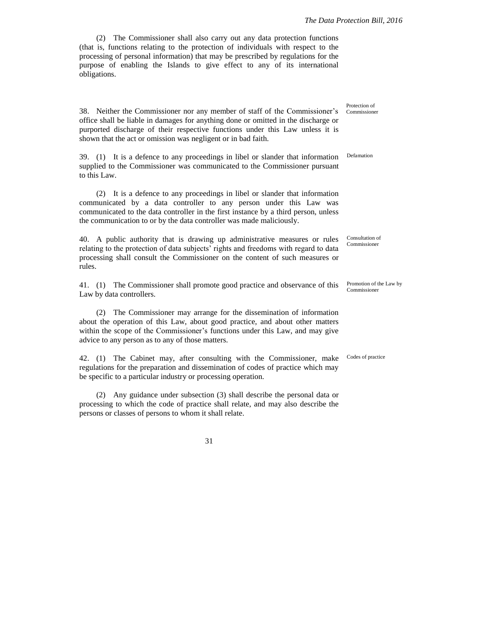(2) The Commissioner shall also carry out any data protection functions (that is, functions relating to the protection of individuals with respect to the processing of personal information) that may be prescribed by regulations for the purpose of enabling the Islands to give effect to any of its international obligations.

38. Neither the Commissioner nor any member of staff of the Commissioner's office shall be liable in damages for anything done or omitted in the discharge or purported discharge of their respective functions under this Law unless it is shown that the act or omission was negligent or in bad faith.

39. (1) It is a defence to any proceedings in libel or slander that information supplied to the Commissioner was communicated to the Commissioner pursuant to this Law.

(2) It is a defence to any proceedings in libel or slander that information communicated by a data controller to any person under this Law was communicated to the data controller in the first instance by a third person, unless the communication to or by the data controller was made maliciously.

40. A public authority that is drawing up administrative measures or rules relating to the protection of data subjects' rights and freedoms with regard to data processing shall consult the Commissioner on the content of such measures or rules.

41. (1) The Commissioner shall promote good practice and observance of this Law by data controllers.

(2) The Commissioner may arrange for the dissemination of information about the operation of this Law, about good practice, and about other matters within the scope of the Commissioner's functions under this Law, and may give advice to any person as to any of those matters.

42. (1) The Cabinet may, after consulting with the Commissioner, make regulations for the preparation and dissemination of codes of practice which may be specific to a particular industry or processing operation.

(2) Any guidance under subsection (3) shall describe the personal data or processing to which the code of practice shall relate, and may also describe the persons or classes of persons to whom it shall relate.

Protection of Commissioner

Defamation

Consultation of Commissioner

Promotion of the Law by Commissioner

Codes of practice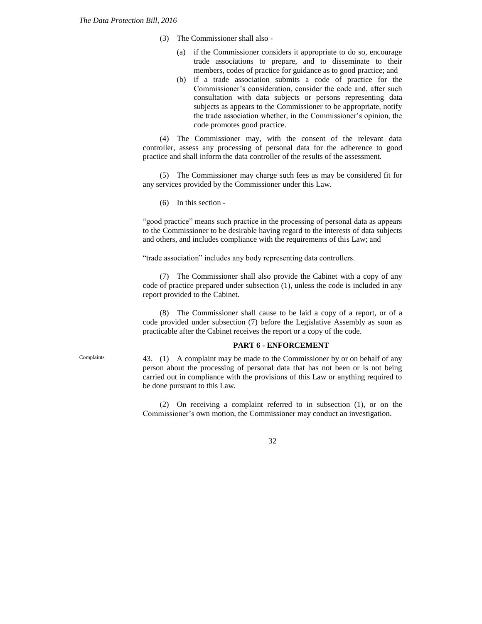- (3) The Commissioner shall also
	- (a) if the Commissioner considers it appropriate to do so, encourage trade associations to prepare, and to disseminate to their members, codes of practice for guidance as to good practice; and
	- (b) if a trade association submits a code of practice for the Commissioner's consideration, consider the code and, after such consultation with data subjects or persons representing data subjects as appears to the Commissioner to be appropriate, notify the trade association whether, in the Commissioner's opinion, the code promotes good practice.

(4) The Commissioner may, with the consent of the relevant data controller, assess any processing of personal data for the adherence to good practice and shall inform the data controller of the results of the assessment.

(5) The Commissioner may charge such fees as may be considered fit for any services provided by the Commissioner under this Law.

(6) In this section -

"good practice" means such practice in the processing of personal data as appears to the Commissioner to be desirable having regard to the interests of data subjects and others, and includes compliance with the requirements of this Law; and

"trade association" includes any body representing data controllers.

(7) The Commissioner shall also provide the Cabinet with a copy of any code of practice prepared under subsection (1), unless the code is included in any report provided to the Cabinet.

(8) The Commissioner shall cause to be laid a copy of a report, or of a code provided under subsection (7) before the Legislative Assembly as soon as practicable after the Cabinet receives the report or a copy of the code.

#### **PART 6 - ENFORCEMENT**

43. (1) A complaint may be made to the Commissioner by or on behalf of any person about the processing of personal data that has not been or is not being carried out in compliance with the provisions of this Law or anything required to be done pursuant to this Law.

(2) On receiving a complaint referred to in subsection (1), or on the Commissioner's own motion, the Commissioner may conduct an investigation.

32

Complaints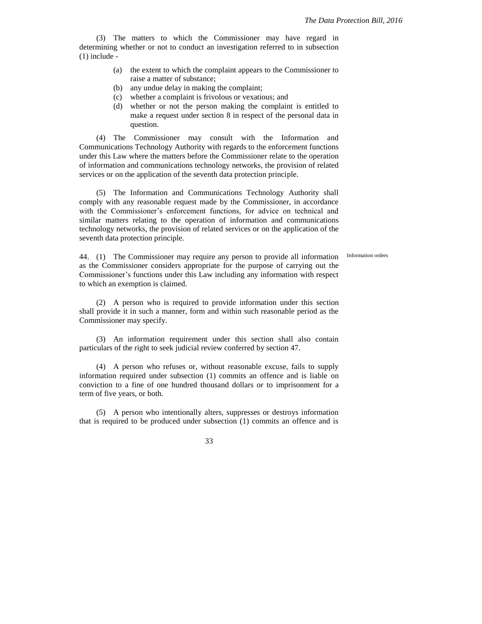(3) The matters to which the Commissioner may have regard in determining whether or not to conduct an investigation referred to in subsection (1) include -

- (a) the extent to which the complaint appears to the Commissioner to raise a matter of substance;
- (b) any undue delay in making the complaint;
- (c) whether a complaint is frivolous or vexatious; and
- (d) whether or not the person making the complaint is entitled to make a request under section 8 in respect of the personal data in question.

(4) The Commissioner may consult with the Information and Communications Technology Authority with regards to the enforcement functions under this Law where the matters before the Commissioner relate to the operation of information and communications technology networks, the provision of related services or on the application of the seventh data protection principle.

(5) The Information and Communications Technology Authority shall comply with any reasonable request made by the Commissioner, in accordance with the Commissioner's enforcement functions, for advice on technical and similar matters relating to the operation of information and communications technology networks, the provision of related services or on the application of the seventh data protection principle.

Information orders

44. (1) The Commissioner may require any person to provide all information as the Commissioner considers appropriate for the purpose of carrying out the Commissioner's functions under this Law including any information with respect to which an exemption is claimed.

(2) A person who is required to provide information under this section shall provide it in such a manner, form and within such reasonable period as the Commissioner may specify.

(3) An information requirement under this section shall also contain particulars of the right to seek judicial review conferred by section 47.

(4) A person who refuses or, without reasonable excuse, fails to supply information required under subsection (1) commits an offence and is liable on conviction to a fine of one hundred thousand dollars or to imprisonment for a term of five years, or both.

(5) A person who intentionally alters, suppresses or destroys information that is required to be produced under subsection (1) commits an offence and is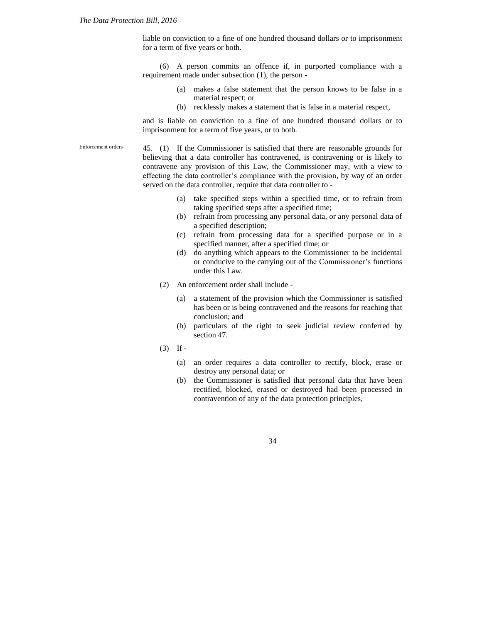#### *The Data Protection Bill, 2016*

liable on conviction to a fine of one hundred thousand dollars or to imprisonment for a term of five years or both.

(6) A person commits an offence if, in purported compliance with a requirement made under subsection (1), the person -

- (a) makes a false statement that the person knows to be false in a material respect; or
- (b) recklessly makes a statement that is false in a material respect,

and is liable on conviction to a fine of one hundred thousand dollars or to imprisonment for a term of five years, or to both.

45. (1) If the Commissioner is satisfied that there are reasonable grounds for believing that a data controller has contravened, is contravening or is likely to contravene any provision of this Law, the Commissioner may, with a view to effecting the data controller's compliance with the provision, by way of an order served on the data controller, require that data controller to - Enforcement orders

- (a) take specified steps within a specified time, or to refrain from taking specified steps after a specified time;
- (b) refrain from processing any personal data, or any personal data of a specified description;
- (c) refrain from processing data for a specified purpose or in a specified manner, after a specified time; or
- (d) do anything which appears to the Commissioner to be incidental or conducive to the carrying out of the Commissioner's functions under this Law.
- (2) An enforcement order shall include
	- (a) a statement of the provision which the Commissioner is satisfied has been or is being contravened and the reasons for reaching that conclusion; and
	- (b) particulars of the right to seek judicial review conferred by section 47.
- $(3)$  If -
	- (a) an order requires a data controller to rectify, block, erase or destroy any personal data; or
	- (b) the Commissioner is satisfied that personal data that have been rectified, blocked, erased or destroyed had been processed in contravention of any of the data protection principles,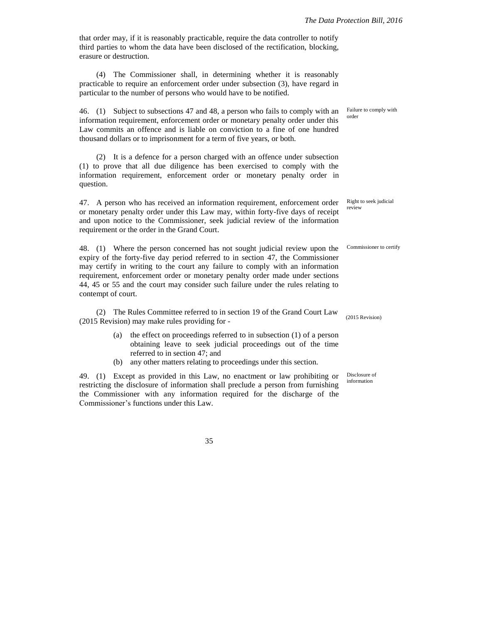that order may, if it is reasonably practicable, require the data controller to notify third parties to whom the data have been disclosed of the rectification, blocking, erasure or destruction.

(4) The Commissioner shall, in determining whether it is reasonably practicable to require an enforcement order under subsection (3), have regard in particular to the number of persons who would have to be notified.

46. (1) Subject to subsections 47 and 48, a person who fails to comply with an information requirement, enforcement order or monetary penalty order under this Law commits an offence and is liable on conviction to a fine of one hundred thousand dollars or to imprisonment for a term of five years, or both.

(2) It is a defence for a person charged with an offence under subsection (1) to prove that all due diligence has been exercised to comply with the information requirement, enforcement order or monetary penalty order in question.

47. A person who has received an information requirement, enforcement order or monetary penalty order under this Law may, within forty-five days of receipt and upon notice to the Commissioner, seek judicial review of the information requirement or the order in the Grand Court.

48. (1) Where the person concerned has not sought judicial review upon the expiry of the forty-five day period referred to in section 47, the Commissioner may certify in writing to the court any failure to comply with an information requirement, enforcement order or monetary penalty order made under sections 44, 45 or 55 and the court may consider such failure under the rules relating to contempt of court.

(2) The Rules Committee referred to in section 19 of the Grand Court Law (2015 Revision) may make rules providing for -

- (a) the effect on proceedings referred to in subsection (1) of a person obtaining leave to seek judicial proceedings out of the time referred to in section 47; and
- (b) any other matters relating to proceedings under this section.

49. (1) Except as provided in this Law, no enactment or law prohibiting or restricting the disclosure of information shall preclude a person from furnishing the Commissioner with any information required for the discharge of the Commissioner's functions under this Law.

Failure to comply with order

Right to seek judicial review

Commissioner to certify

(2015 Revision)

Disclosure of information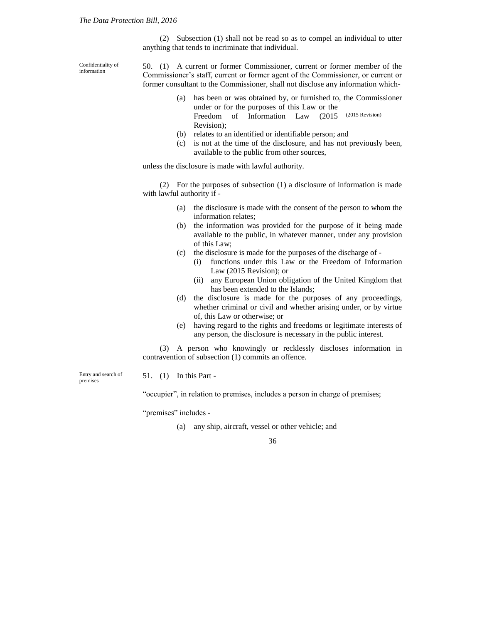(2) Subsection (1) shall not be read so as to compel an individual to utter anything that tends to incriminate that individual.

Confidentiality of information

50. (1) A current or former Commissioner, current or former member of the Commissioner's staff, current or former agent of the Commissioner, or current or former consultant to the Commissioner, shall not disclose any information which-

- (a) has been or was obtained by, or furnished to, the Commissioner under or for the purposes of this Law or the Freedom of Information Law (2015 Revision); (2015 Revision)
- (b) relates to an identified or identifiable person; and
- (c) is not at the time of the disclosure, and has not previously been, available to the public from other sources,

unless the disclosure is made with lawful authority.

(2) For the purposes of subsection (1) a disclosure of information is made with lawful authority if -

- (a) the disclosure is made with the consent of the person to whom the information relates;
- (b) the information was provided for the purpose of it being made available to the public, in whatever manner, under any provision of this Law;
- (c) the disclosure is made for the purposes of the discharge of
	- (i) functions under this Law or the Freedom of Information Law (2015 Revision); or
	- (ii) any European Union obligation of the United Kingdom that has been extended to the Islands;
- (d) the disclosure is made for the purposes of any proceedings, whether criminal or civil and whether arising under, or by virtue of, this Law or otherwise; or
- (e) having regard to the rights and freedoms or legitimate interests of any person, the disclosure is necessary in the public interest.

(3) A person who knowingly or recklessly discloses information in contravention of subsection (1) commits an offence.

Entry and search of premises

## 51. (1) In this Part -

"occupier", in relation to premises, includes a person in charge of premises;

"premises" includes -

(a) any ship, aircraft, vessel or other vehicle; and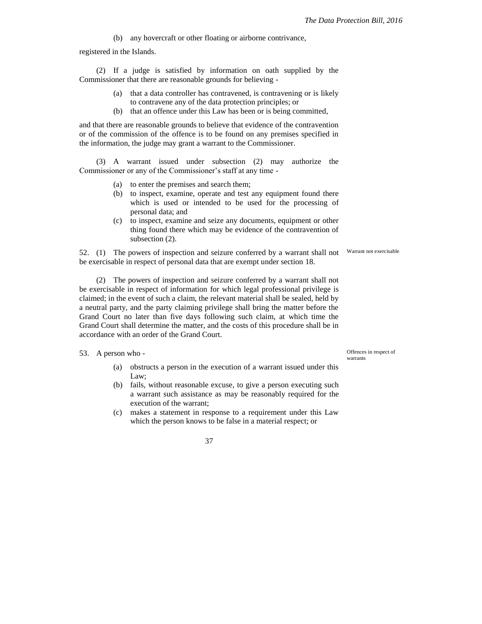(b) any hovercraft or other floating or airborne contrivance,

registered in the Islands.

(2) If a judge is satisfied by information on oath supplied by the Commissioner that there are reasonable grounds for believing -

- (a) that a data controller has contravened, is contravening or is likely to contravene any of the data protection principles; or
- (b) that an offence under this Law has been or is being committed,

and that there are reasonable grounds to believe that evidence of the contravention or of the commission of the offence is to be found on any premises specified in the information, the judge may grant a warrant to the Commissioner.

(3) A warrant issued under subsection (2) may authorize the Commissioner or any of the Commissioner's staff at any time -

- (a) to enter the premises and search them;
- (b) to inspect, examine, operate and test any equipment found there which is used or intended to be used for the processing of personal data; and
- (c) to inspect, examine and seize any documents, equipment or other thing found there which may be evidence of the contravention of subsection (2).

52. (1) The powers of inspection and seizure conferred by a warrant shall not be exercisable in respect of personal data that are exempt under section 18.

(2) The powers of inspection and seizure conferred by a warrant shall not be exercisable in respect of information for which legal professional privilege is claimed; in the event of such a claim, the relevant material shall be sealed, held by a neutral party, and the party claiming privilege shall bring the matter before the Grand Court no later than five days following such claim, at which time the Grand Court shall determine the matter, and the costs of this procedure shall be in accordance with an order of the Grand Court.

53. A person who -

- (a) obstructs a person in the execution of a warrant issued under this Law;
- (b) fails, without reasonable excuse, to give a person executing such a warrant such assistance as may be reasonably required for the execution of the warrant;
- (c) makes a statement in response to a requirement under this Law which the person knows to be false in a material respect; or

37

Offences in respect of warrants

Warrant not exercisable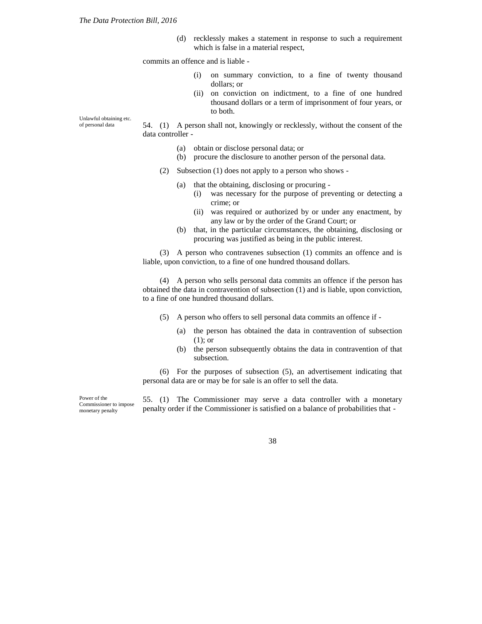(d) recklessly makes a statement in response to such a requirement which is false in a material respect,

commits an offence and is liable -

- (i) on summary conviction, to a fine of twenty thousand dollars; or
- (ii) on conviction on indictment, to a fine of one hundred thousand dollars or a term of imprisonment of four years, or to both.

Unlawful obtaining etc. of personal data

54. (1) A person shall not, knowingly or recklessly, without the consent of the data controller -

- (a) obtain or disclose personal data; or
- (b) procure the disclosure to another person of the personal data.
- (2) Subsection (1) does not apply to a person who shows
	- (a) that the obtaining, disclosing or procuring
		- (i) was necessary for the purpose of preventing or detecting a crime; or
		- (ii) was required or authorized by or under any enactment, by any law or by the order of the Grand Court; or
	- (b) that, in the particular circumstances, the obtaining, disclosing or procuring was justified as being in the public interest.

(3) A person who contravenes subsection (1) commits an offence and is liable, upon conviction, to a fine of one hundred thousand dollars.

(4) A person who sells personal data commits an offence if the person has obtained the data in contravention of subsection (1) and is liable, upon conviction, to a fine of one hundred thousand dollars.

(5) A person who offers to sell personal data commits an offence if -

- (a) the person has obtained the data in contravention of subsection (1); or
- (b) the person subsequently obtains the data in contravention of that subsection.

(6) For the purposes of subsection (5), an advertisement indicating that personal data are or may be for sale is an offer to sell the data.

Power of the Commissioner to impose monetary penalty

55. (1) The Commissioner may serve a data controller with a monetary penalty order if the Commissioner is satisfied on a balance of probabilities that -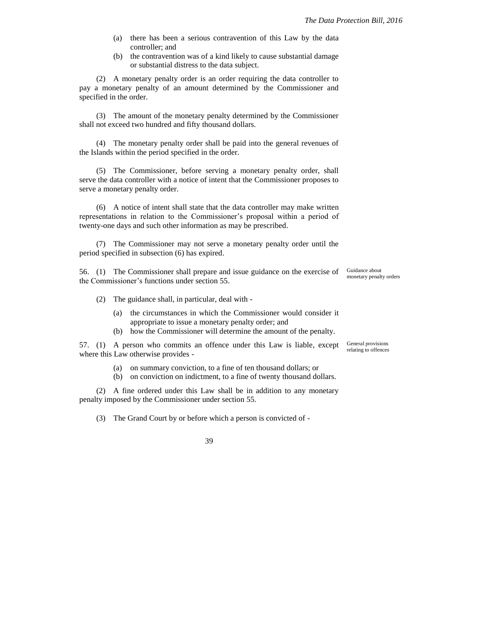- (a) there has been a serious contravention of this Law by the data controller; and
- (b) the contravention was of a kind likely to cause substantial damage or substantial distress to the data subject.

(2) A monetary penalty order is an order requiring the data controller to pay a monetary penalty of an amount determined by the Commissioner and specified in the order.

(3) The amount of the monetary penalty determined by the Commissioner shall not exceed two hundred and fifty thousand dollars.

(4) The monetary penalty order shall be paid into the general revenues of the Islands within the period specified in the order.

(5) The Commissioner, before serving a monetary penalty order, shall serve the data controller with a notice of intent that the Commissioner proposes to serve a monetary penalty order.

(6) A notice of intent shall state that the data controller may make written representations in relation to the Commissioner's proposal within a period of twenty-one days and such other information as may be prescribed.

(7) The Commissioner may not serve a monetary penalty order until the period specified in subsection (6) has expired.

56. (1) The Commissioner shall prepare and issue guidance on the exercise of Guidance about the Commissioner's functions under section 55.

monetary penalty orders

- (2) The guidance shall, in particular, deal with
	- (a) the circumstances in which the Commissioner would consider it appropriate to issue a monetary penalty order; and
	- (b) how the Commissioner will determine the amount of the penalty.

57. (1) A person who commits an offence under this Law is liable, except where this Law otherwise provides -

(a) on summary conviction, to a fine of ten thousand dollars; or

(b) on conviction on indictment, to a fine of twenty thousand dollars.

(2) A fine ordered under this Law shall be in addition to any monetary penalty imposed by the Commissioner under section 55.

(3) The Grand Court by or before which a person is convicted of -

39

General provisions relating to offences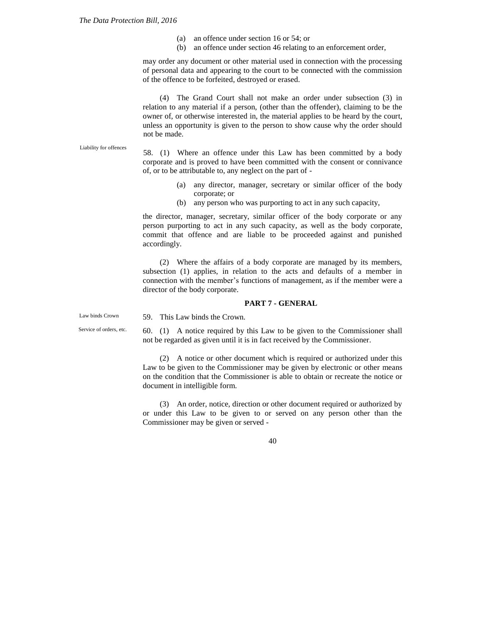- (a) an offence under section 16 or 54; or
- (b) an offence under section 46 relating to an enforcement order,

may order any document or other material used in connection with the processing of personal data and appearing to the court to be connected with the commission of the offence to be forfeited, destroyed or erased.

(4) The Grand Court shall not make an order under subsection (3) in relation to any material if a person, (other than the offender), claiming to be the owner of, or otherwise interested in, the material applies to be heard by the court, unless an opportunity is given to the person to show cause why the order should not be made.

Liability for offences

58. (1) Where an offence under this Law has been committed by a body corporate and is proved to have been committed with the consent or connivance of, or to be attributable to, any neglect on the part of -

- (a) any director, manager, secretary or similar officer of the body corporate; or
- (b) any person who was purporting to act in any such capacity,

the director, manager, secretary, similar officer of the body corporate or any person purporting to act in any such capacity, as well as the body corporate, commit that offence and are liable to be proceeded against and punished accordingly.

(2) Where the affairs of a body corporate are managed by its members, subsection (1) applies, in relation to the acts and defaults of a member in connection with the member's functions of management, as if the member were a director of the body corporate.

#### **PART 7 - GENERAL**

Law binds Crown

Service of orders, etc.

60. (1) A notice required by this Law to be given to the Commissioner shall not be regarded as given until it is in fact received by the Commissioner.

59. This Law binds the Crown.

(2) A notice or other document which is required or authorized under this Law to be given to the Commissioner may be given by electronic or other means on the condition that the Commissioner is able to obtain or recreate the notice or document in intelligible form.

(3) An order, notice, direction or other document required or authorized by or under this Law to be given to or served on any person other than the Commissioner may be given or served -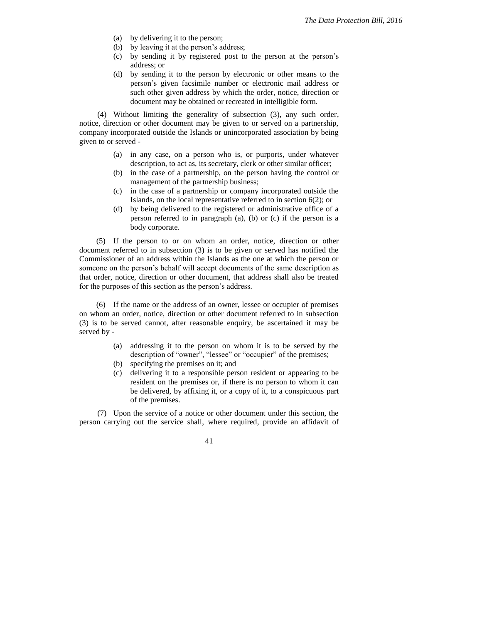- (a) by delivering it to the person;
- (b) by leaving it at the person's address;
- (c) by sending it by registered post to the person at the person's address; or
- (d) by sending it to the person by electronic or other means to the person's given facsimile number or electronic mail address or such other given address by which the order, notice, direction or document may be obtained or recreated in intelligible form.

(4) Without limiting the generality of subsection (3), any such order, notice, direction or other document may be given to or served on a partnership, company incorporated outside the Islands or unincorporated association by being given to or served -

- (a) in any case, on a person who is, or purports, under whatever description, to act as, its secretary, clerk or other similar officer;
- (b) in the case of a partnership, on the person having the control or management of the partnership business;
- (c) in the case of a partnership or company incorporated outside the Islands, on the local representative referred to in section 6(2); or
- (d) by being delivered to the registered or administrative office of a person referred to in paragraph (a), (b) or (c) if the person is a body corporate.

(5) If the person to or on whom an order, notice, direction or other document referred to in subsection (3) is to be given or served has notified the Commissioner of an address within the Islands as the one at which the person or someone on the person's behalf will accept documents of the same description as that order, notice, direction or other document, that address shall also be treated for the purposes of this section as the person's address.

(6) If the name or the address of an owner, lessee or occupier of premises on whom an order, notice, direction or other document referred to in subsection (3) is to be served cannot, after reasonable enquiry, be ascertained it may be served by -

- (a) addressing it to the person on whom it is to be served by the description of "owner", "lessee" or "occupier" of the premises;
- (b) specifying the premises on it; and
- (c) delivering it to a responsible person resident or appearing to be resident on the premises or, if there is no person to whom it can be delivered, by affixing it, or a copy of it, to a conspicuous part of the premises.

(7) Upon the service of a notice or other document under this section, the person carrying out the service shall, where required, provide an affidavit of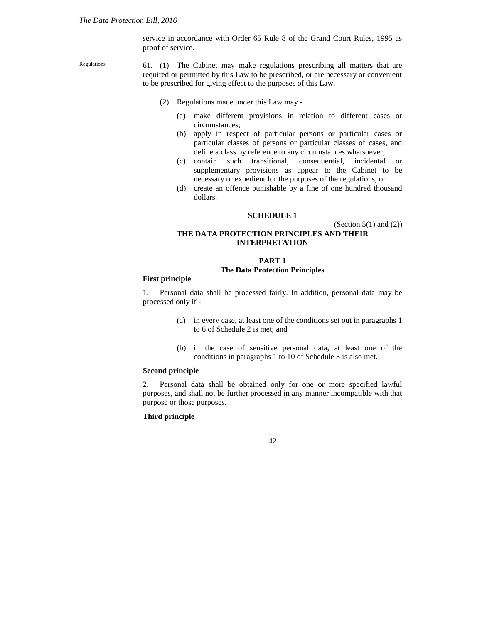Regulations

service in accordance with Order 65 Rule 8 of the Grand Court Rules, 1995 as proof of service.

61. (1) The Cabinet may make regulations prescribing all matters that are required or permitted by this Law to be prescribed, or are necessary or convenient to be prescribed for giving effect to the purposes of this Law.

- (2) Regulations made under this Law may
	- (a) make different provisions in relation to different cases or circumstances;
	- (b) apply in respect of particular persons or particular cases or particular classes of persons or particular classes of cases, and define a class by reference to any circumstances whatsoever;
	- (c) contain such transitional, consequential, incidental or supplementary provisions as appear to the Cabinet to be necessary or expedient for the purposes of the regulations; or
	- (d) create an offence punishable by a fine of one hundred thousand dollars.

#### **SCHEDULE 1**

(Section  $5(1)$  and  $(2)$ )

# **THE DATA PROTECTION PRINCIPLES AND THEIR INTERPRETATION**

### **PART 1 The Data Protection Principles**

#### **First principle**

1. Personal data shall be processed fairly. In addition, personal data may be processed only if -

- (a) in every case, at least one of the conditions set out in paragraphs 1 to 6 of Schedule 2 is met; and
- (b) in the case of sensitive personal data, at least one of the conditions in paragraphs 1 to 10 of Schedule 3 is also met.

#### **Second principle**

2. Personal data shall be obtained only for one or more specified lawful purposes, and shall not be further processed in any manner incompatible with that purpose or those purposes.

## **Third principle**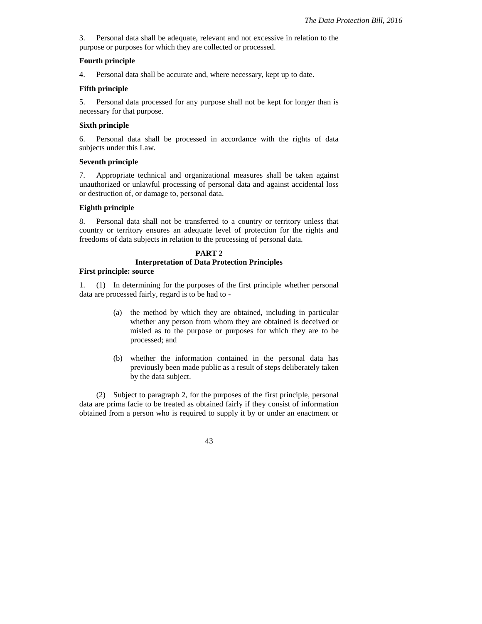3. Personal data shall be adequate, relevant and not excessive in relation to the purpose or purposes for which they are collected or processed.

#### **Fourth principle**

4. Personal data shall be accurate and, where necessary, kept up to date.

#### **Fifth principle**

5. Personal data processed for any purpose shall not be kept for longer than is necessary for that purpose.

# **Sixth principle**

6. Personal data shall be processed in accordance with the rights of data subjects under this Law.

#### **Seventh principle**

7. Appropriate technical and organizational measures shall be taken against unauthorized or unlawful processing of personal data and against accidental loss or destruction of, or damage to, personal data.

## **Eighth principle**

8. Personal data shall not be transferred to a country or territory unless that country or territory ensures an adequate level of protection for the rights and freedoms of data subjects in relation to the processing of personal data.

### **PART 2 Interpretation of Data Protection Principles**

#### **First principle: source**

1. (1) In determining for the purposes of the first principle whether personal data are processed fairly, regard is to be had to -

- (a) the method by which they are obtained, including in particular whether any person from whom they are obtained is deceived or misled as to the purpose or purposes for which they are to be processed; and
- (b) whether the information contained in the personal data has previously been made public as a result of steps deliberately taken by the data subject.

(2) Subject to paragraph 2, for the purposes of the first principle, personal data are prima facie to be treated as obtained fairly if they consist of information obtained from a person who is required to supply it by or under an enactment or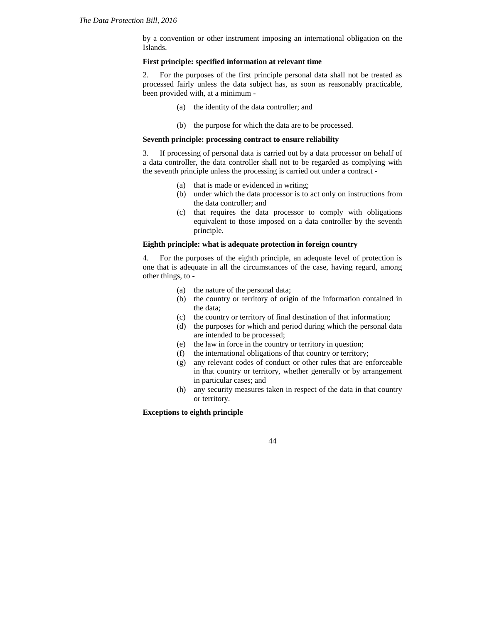by a convention or other instrument imposing an international obligation on the Islands.

#### **First principle: specified information at relevant time**

2. For the purposes of the first principle personal data shall not be treated as processed fairly unless the data subject has, as soon as reasonably practicable, been provided with, at a minimum -

- (a) the identity of the data controller; and
- (b) the purpose for which the data are to be processed.

#### **Seventh principle: processing contract to ensure reliability**

3. If processing of personal data is carried out by a data processor on behalf of a data controller, the data controller shall not to be regarded as complying with the seventh principle unless the processing is carried out under a contract -

- (a) that is made or evidenced in writing;
- (b) under which the data processor is to act only on instructions from the data controller; and
- (c) that requires the data processor to comply with obligations equivalent to those imposed on a data controller by the seventh principle.

#### **Eighth principle: what is adequate protection in foreign country**

4. For the purposes of the eighth principle, an adequate level of protection is one that is adequate in all the circumstances of the case, having regard, among other things, to -

- (a) the nature of the personal data;
- (b) the country or territory of origin of the information contained in the data;
- (c) the country or territory of final destination of that information;
- (d) the purposes for which and period during which the personal data are intended to be processed;
- (e) the law in force in the country or territory in question;
- (f) the international obligations of that country or territory;
- (g) any relevant codes of conduct or other rules that are enforceable in that country or territory, whether generally or by arrangement in particular cases; and
- (h) any security measures taken in respect of the data in that country or territory.

# **Exceptions to eighth principle**

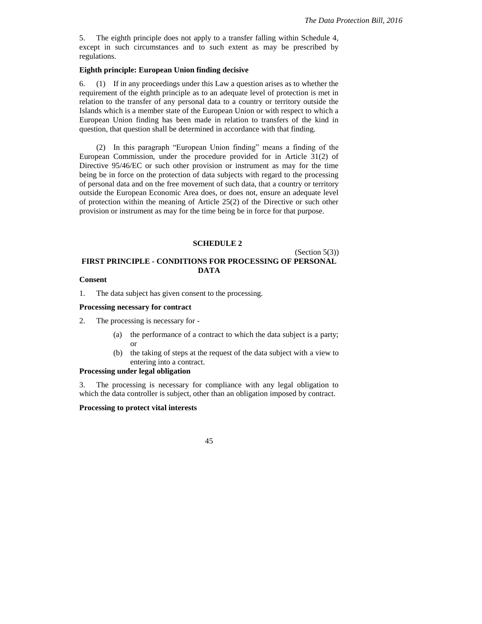5. The eighth principle does not apply to a transfer falling within Schedule 4, except in such circumstances and to such extent as may be prescribed by regulations.

#### **Eighth principle: European Union finding decisive**

6. (1) If in any proceedings under this Law a question arises as to whether the requirement of the eighth principle as to an adequate level of protection is met in relation to the transfer of any personal data to a country or territory outside the Islands which is a member state of the European Union or with respect to which a European Union finding has been made in relation to transfers of the kind in question, that question shall be determined in accordance with that finding.

(2) In this paragraph "European Union finding" means a finding of the European Commission, under the procedure provided for in Article 31(2) of Directive 95/46/EC or such other provision or instrument as may for the time being be in force on the protection of data subjects with regard to the processing of personal data and on the free movement of such data, that a country or territory outside the European Economic Area does, or does not, ensure an adequate level of protection within the meaning of Article 25(2) of the Directive or such other provision or instrument as may for the time being be in force for that purpose.

#### **SCHEDULE 2**

(Section 5(3))

## **FIRST PRINCIPLE - CONDITIONS FOR PROCESSING OF PERSONAL DATA**

#### **Consent**

1. The data subject has given consent to the processing.

#### **Processing necessary for contract**

2. The processing is necessary for -

- (a) the performance of a contract to which the data subject is a party; or
- (b) the taking of steps at the request of the data subject with a view to entering into a contract.

#### **Processing under legal obligation**

3. The processing is necessary for compliance with any legal obligation to which the data controller is subject, other than an obligation imposed by contract.

## **Processing to protect vital interests**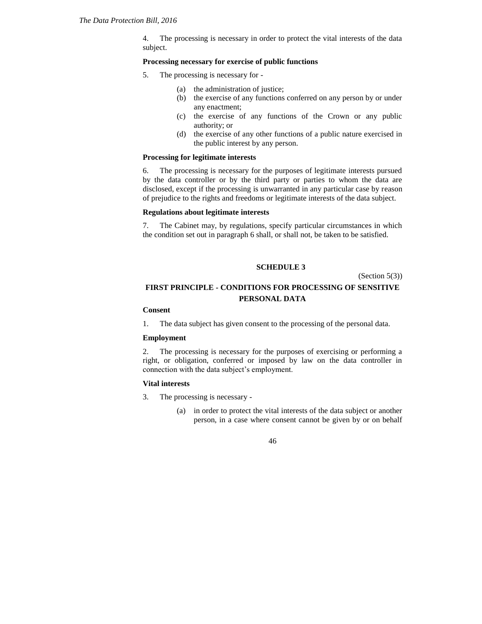4. The processing is necessary in order to protect the vital interests of the data subject.

#### **Processing necessary for exercise of public functions**

- 5. The processing is necessary for
	- (a) the administration of justice;
	- (b) the exercise of any functions conferred on any person by or under any enactment;
	- (c) the exercise of any functions of the Crown or any public authority; or
	- (d) the exercise of any other functions of a public nature exercised in the public interest by any person.

### **Processing for legitimate interests**

6. The processing is necessary for the purposes of legitimate interests pursued by the data controller or by the third party or parties to whom the data are disclosed, except if the processing is unwarranted in any particular case by reason of prejudice to the rights and freedoms or legitimate interests of the data subject.

#### **Regulations about legitimate interests**

7. The Cabinet may, by regulations, specify particular circumstances in which the condition set out in paragraph 6 shall, or shall not, be taken to be satisfied.

## **SCHEDULE 3**

 $(Section 5(3))$ 

# **FIRST PRINCIPLE - CONDITIONS FOR PROCESSING OF SENSITIVE PERSONAL DATA**

## **Consent**

1. The data subject has given consent to the processing of the personal data.

## **Employment**

2. The processing is necessary for the purposes of exercising or performing a right, or obligation, conferred or imposed by law on the data controller in connection with the data subject's employment.

#### **Vital interests**

- 3. The processing is necessary
	- (a) in order to protect the vital interests of the data subject or another person, in a case where consent cannot be given by or on behalf

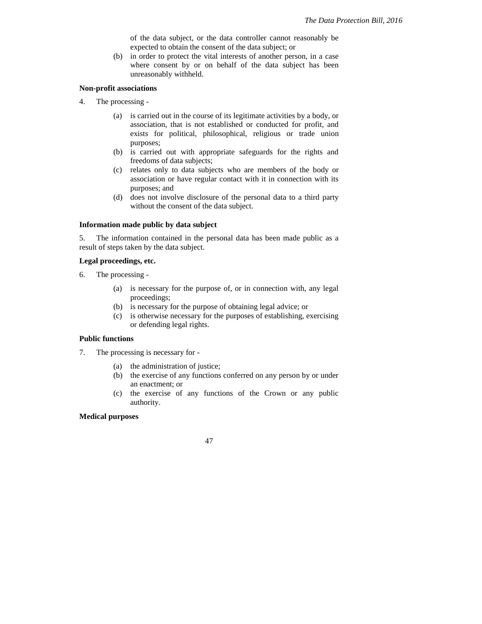of the data subject, or the data controller cannot reasonably be expected to obtain the consent of the data subject; or

(b) in order to protect the vital interests of another person, in a case where consent by or on behalf of the data subject has been unreasonably withheld.

#### **Non-profit associations**

- 4. The processing
	- (a) is carried out in the course of its legitimate activities by a body, or association, that is not established or conducted for profit, and exists for political, philosophical, religious or trade union purposes;
	- (b) is carried out with appropriate safeguards for the rights and freedoms of data subjects;
	- (c) relates only to data subjects who are members of the body or association or have regular contact with it in connection with its purposes; and
	- (d) does not involve disclosure of the personal data to a third party without the consent of the data subject.

#### **Information made public by data subject**

5. The information contained in the personal data has been made public as a result of steps taken by the data subject.

# **Legal proceedings, etc.**

- 6. The processing
	- (a) is necessary for the purpose of, or in connection with, any legal proceedings;
	- (b) is necessary for the purpose of obtaining legal advice; or
	- (c) is otherwise necessary for the purposes of establishing, exercising or defending legal rights.

#### **Public functions**

- 7. The processing is necessary for
	- (a) the administration of justice;
	- (b) the exercise of any functions conferred on any person by or under an enactment; or
	- (c) the exercise of any functions of the Crown or any public authority.

# **Medical purposes**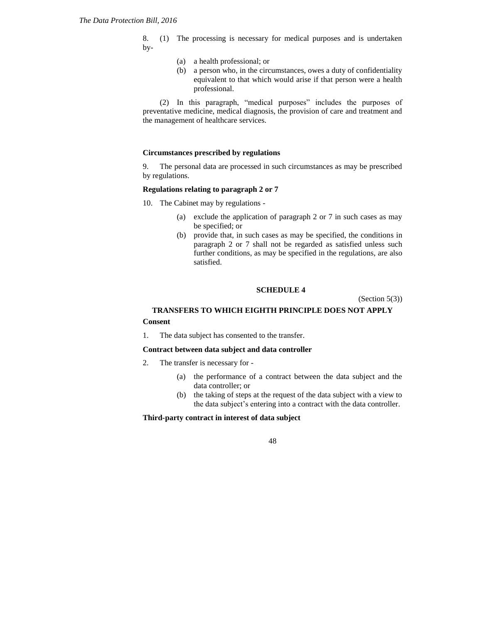8. (1) The processing is necessary for medical purposes and is undertaken by-

- (a) a health professional; or
- (b) a person who, in the circumstances, owes a duty of confidentiality equivalent to that which would arise if that person were a health professional.

(2) In this paragraph, "medical purposes" includes the purposes of preventative medicine, medical diagnosis, the provision of care and treatment and the management of healthcare services.

#### **Circumstances prescribed by regulations**

9. The personal data are processed in such circumstances as may be prescribed by regulations.

#### **Regulations relating to paragraph 2 or 7**

- 10. The Cabinet may by regulations
	- (a) exclude the application of paragraph 2 or 7 in such cases as may be specified; or
	- (b) provide that, in such cases as may be specified, the conditions in paragraph 2 or 7 shall not be regarded as satisfied unless such further conditions, as may be specified in the regulations, are also satisfied.

## **SCHEDULE 4**

 $(Section 5(3))$ 

# **TRANSFERS TO WHICH EIGHTH PRINCIPLE DOES NOT APPLY Consent**

1. The data subject has consented to the transfer.

#### **Contract between data subject and data controller**

- 2. The transfer is necessary for
	- (a) the performance of a contract between the data subject and the data controller; or
	- (b) the taking of steps at the request of the data subject with a view to the data subject's entering into a contract with the data controller.

#### **Third-party contract in interest of data subject**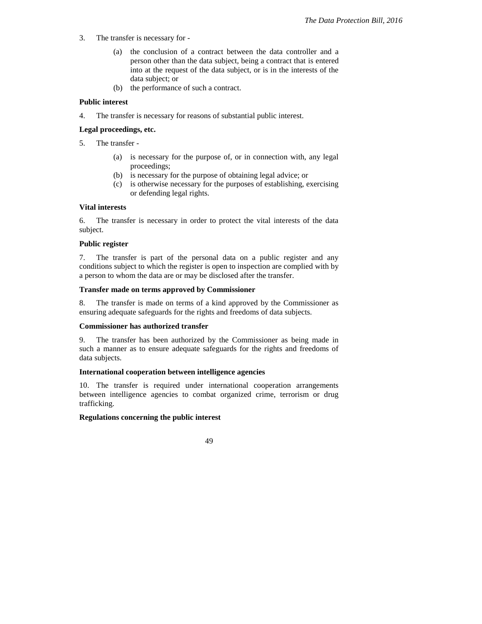- 3. The transfer is necessary for
	- (a) the conclusion of a contract between the data controller and a person other than the data subject, being a contract that is entered into at the request of the data subject, or is in the interests of the data subject; or
	- (b) the performance of such a contract.

# **Public interest**

4. The transfer is necessary for reasons of substantial public interest.

## **Legal proceedings, etc.**

- 5. The transfer
	- (a) is necessary for the purpose of, or in connection with, any legal proceedings;
	- (b) is necessary for the purpose of obtaining legal advice; or
	- (c) is otherwise necessary for the purposes of establishing, exercising or defending legal rights.

# **Vital interests**

6. The transfer is necessary in order to protect the vital interests of the data subject.

#### **Public register**

7. The transfer is part of the personal data on a public register and any conditions subject to which the register is open to inspection are complied with by a person to whom the data are or may be disclosed after the transfer.

#### **Transfer made on terms approved by Commissioner**

8. The transfer is made on terms of a kind approved by the Commissioner as ensuring adequate safeguards for the rights and freedoms of data subjects.

#### **Commissioner has authorized transfer**

9. The transfer has been authorized by the Commissioner as being made in such a manner as to ensure adequate safeguards for the rights and freedoms of data subjects.

#### **International cooperation between intelligence agencies**

10. The transfer is required under international cooperation arrangements between intelligence agencies to combat organized crime, terrorism or drug trafficking.

#### **Regulations concerning the public interest**